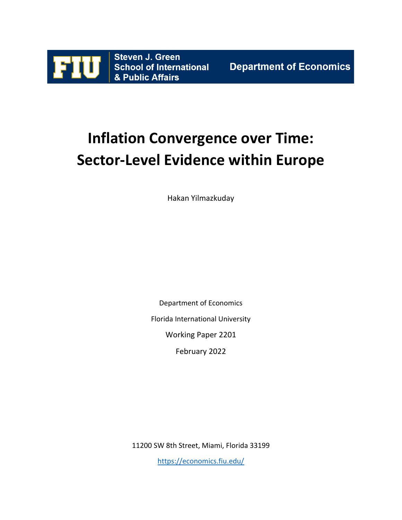

# **Inflation Convergence over Time: Sector-Level Evidence within Europe**

Hakan Yilmazkuday

Department of Economics

Florida International University

Working Paper 2201

February 2022

11200 SW 8th Street, Miami, Florida 33199

<https://economics.fiu.edu/>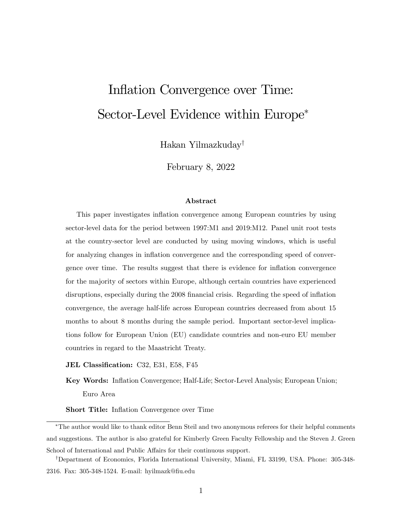# Inflation Convergence over Time: Sector-Level Evidence within Europe

Hakan Yilmazkuday<sup>†</sup>

February 8, 2022

#### Abstract

This paper investigates inflation convergence among European countries by using sector-level data for the period between 1997:M1 and 2019:M12. Panel unit root tests at the country-sector level are conducted by using moving windows, which is useful for analyzing changes in ináation convergence and the corresponding speed of convergence over time. The results suggest that there is evidence for ináation convergence for the majority of sectors within Europe, although certain countries have experienced disruptions, especially during the 2008 financial crisis. Regarding the speed of inflation convergence, the average half-life across European countries decreased from about 15 months to about 8 months during the sample period. Important sector-level implications follow for European Union (EU) candidate countries and non-euro EU member countries in regard to the Maastricht Treaty.

JEL Classification: C32, E31, E58, F45

Key Words: Ináation Convergence; Half-Life; Sector-Level Analysis; European Union; Euro Area

**Short Title:** Inflation Convergence over Time

The author would like to thank editor Benn Steil and two anonymous referees for their helpful comments and suggestions. The author is also grateful for Kimberly Green Faculty Fellowship and the Steven J. Green School of International and Public Affairs for their continuous support.

<sup>&</sup>lt;sup>†</sup>Department of Economics, Florida International University, Miami, FL 33199, USA. Phone: 305-348-2316. Fax: 305-348-1524. E-mail: hyilmazk@Öu.edu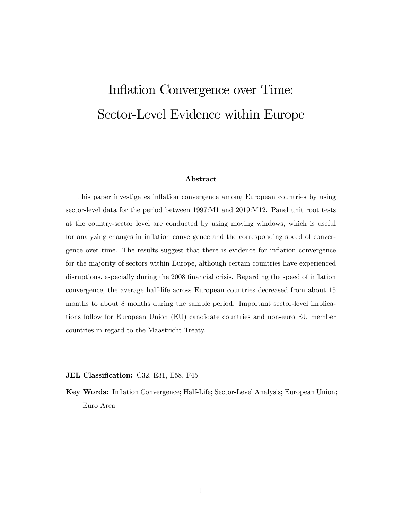# <span id="page-2-0"></span>Inflation Convergence over Time: Sector-Level Evidence within Europe

#### Abstract

This paper investigates inflation convergence among European countries by using sector-level data for the period between 1997:M1 and 2019:M12. Panel unit root tests at the country-sector level are conducted by using moving windows, which is useful for analyzing changes in ináation convergence and the corresponding speed of convergence over time. The results suggest that there is evidence for inflation convergence for the majority of sectors within Europe, although certain countries have experienced disruptions, especially during the 2008 financial crisis. Regarding the speed of inflation convergence, the average half-life across European countries decreased from about 15 months to about 8 months during the sample period. Important sector-level implications follow for European Union (EU) candidate countries and non-euro EU member countries in regard to the Maastricht Treaty.

JEL Classification: C32, E31, E58, F45

Key Words: Ináation Convergence; Half-Life; Sector-Level Analysis; European Union; Euro Area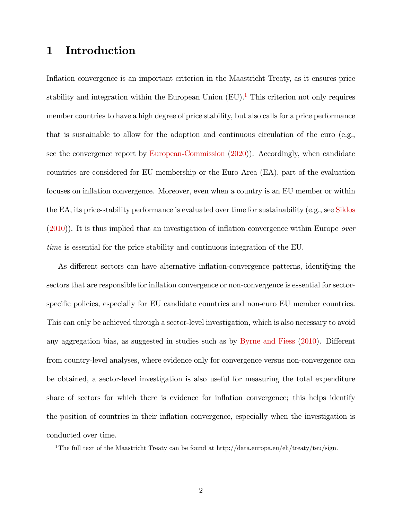# 1 Introduction

Inflation convergence is an important criterion in the Maastricht Treaty, as it ensures price stability and integration within the European Union  $(EU)$ .<sup>[1](#page-2-0)</sup> This criterion not only requires member countries to have a high degree of price stability, but also calls for a price performance that is sustainable to allow for the adoption and continuous circulation of the euro (e.g., see the convergence report by [European-Commission](#page-20-0) [\(2020\)](#page-20-0)). Accordingly, when candidate countries are considered for EU membership or the Euro Area (EA), part of the evaluation focuses on inflation convergence. Moreover, even when a country is an EU member or within the EA, its price-stability performance is evaluated over time for sustainability (e.g., see [Siklos](#page-21-0)  $(2010)$ ). It is thus implied that an investigation of inflation convergence within Europe *over* time is essential for the price stability and continuous integration of the EU.

As different sectors can have alternative inflation-convergence patterns, identifying the sectors that are responsible for inflation convergence or non-convergence is essential for sectorspecific policies, especially for EU candidate countries and non-euro EU member countries. This can only be achieved through a sector-level investigation, which is also necessary to avoid any aggregation bias, as suggested in studies such as by [Byrne and Fiess](#page-20-1) [\(2010\)](#page-20-1). Different from country-level analyses, where evidence only for convergence versus non-convergence can be obtained, a sector-level investigation is also useful for measuring the total expenditure share of sectors for which there is evidence for inflation convergence; this helps identify the position of countries in their inflation convergence, especially when the investigation is conducted over time.

<sup>&</sup>lt;sup>1</sup>The full text of the Maastricht Treaty can be found at http://data.europa.eu/eli/treaty/teu/sign.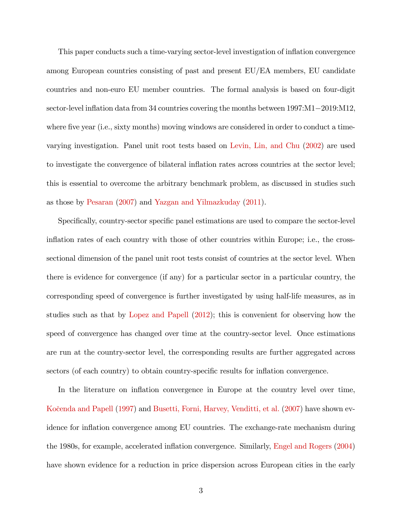This paper conducts such a time-varying sector-level investigation of ináation convergence among European countries consisting of past and present EU/EA members, EU candidate countries and non-euro EU member countries. The formal analysis is based on four-digit sector-level inflation data from  $34$  countries covering the months between  $1997:M1-2019:M12$ , where five year (i.e., sixty months) moving windows are considered in order to conduct a timevarying investigation. Panel unit root tests based on [Levin, Lin, and Chu](#page-21-1) [\(2002\)](#page-21-1) are used to investigate the convergence of bilateral inflation rates across countries at the sector level; this is essential to overcome the arbitrary benchmark problem, as discussed in studies such as those by [Pesaran](#page-21-2) [\(2007\)](#page-21-2) and [Yazgan and Yilmazkuday](#page-21-3) [\(2011\)](#page-21-3).

Specifically, country-sector specific panel estimations are used to compare the sector-level inflation rates of each country with those of other countries within Europe; i.e., the crosssectional dimension of the panel unit root tests consist of countries at the sector level. When there is evidence for convergence (if any) for a particular sector in a particular country, the corresponding speed of convergence is further investigated by using half-life measures, as in studies such as that by [Lopez and Papell](#page-21-4) [\(2012\)](#page-21-4); this is convenient for observing how the speed of convergence has changed over time at the country-sector level. Once estimations are run at the country-sector level, the corresponding results are further aggregated across sectors (of each country) to obtain country-specific results for inflation convergence.

In the literature on inflation convergence in Europe at the country level over time, Kočenda and Papell [\(1997\)](#page-21-5) and [Busetti, Forni, Harvey, Venditti, et al.](#page-19-0) [\(2007\)](#page-19-0) have shown evidence for inflation convergence among EU countries. The exchange-rate mechanism during the 1980s, for example, accelerated inflation convergence. Similarly, [Engel and Rogers](#page-20-2) [\(2004\)](#page-20-2) have shown evidence for a reduction in price dispersion across European cities in the early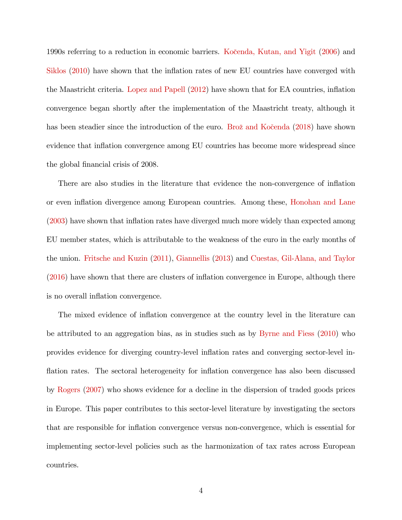1990s referring to a reduction in economic barriers. Kočenda, Kutan, and Yigit [\(2006\)](#page-21-6) and [Siklos](#page-21-0)  $(2010)$  have shown that the inflation rates of new EU countries have converged with the Maastricht criteria. [Lopez and Papell](#page-21-4) [\(2012\)](#page-21-4) have shown that for EA countries, ináation convergence began shortly after the implementation of the Maastricht treaty, although it has been steadier since the introduction of the euro. Brož and Kočenda [\(2018\)](#page-19-1) have shown evidence that inflation convergence among EU countries has become more widespread since the global financial crisis of 2008.

There are also studies in the literature that evidence the non-convergence of inflation or even ináation divergence among European countries. Among these, [Honohan and Lane](#page-20-3) [\(2003\)](#page-20-3) have shown that inflation rates have diverged much more widely than expected among EU member states, which is attributable to the weakness of the euro in the early months of the union. [Fritsche and Kuzin](#page-20-4) [\(2011\)](#page-20-4), [Giannellis](#page-20-5) [\(2013\)](#page-20-5) and [Cuestas, Gil-Alana, and Taylor](#page-20-6) [\(2016\)](#page-20-6) have shown that there are clusters of ináation convergence in Europe, although there is no overall inflation convergence.

The mixed evidence of inflation convergence at the country level in the literature can be attributed to an aggregation bias, as in studies such as by [Byrne and Fiess](#page-20-1) [\(2010\)](#page-20-1) who provides evidence for diverging country-level inflation rates and converging sector-level inflation rates. The sectoral heterogeneity for inflation convergence has also been discussed by [Rogers](#page-21-7) [\(2007\)](#page-21-7) who shows evidence for a decline in the dispersion of traded goods prices in Europe. This paper contributes to this sector-level literature by investigating the sectors that are responsible for ináation convergence versus non-convergence, which is essential for implementing sector-level policies such as the harmonization of tax rates across European countries.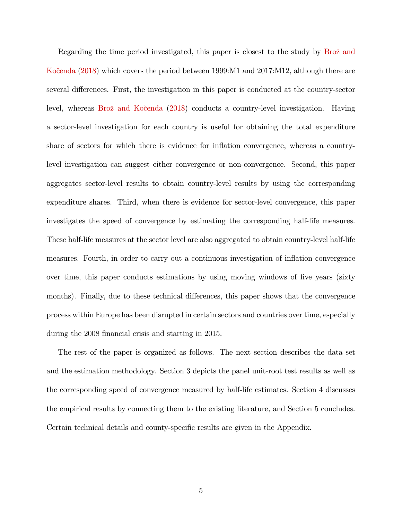Regarding the time period investigated, this paper is closest to the study by Brož and Kocenda [\(2018\)](#page-19-1) which covers the period between 1999:M1 and 2017:M12, although there are several differences. First, the investigation in this paper is conducted at the country-sector level, whereas Brož and Kočenda [\(2018\)](#page-19-1) conducts a country-level investigation. Having a sector-level investigation for each country is useful for obtaining the total expenditure share of sectors for which there is evidence for inflation convergence, whereas a countrylevel investigation can suggest either convergence or non-convergence. Second, this paper aggregates sector-level results to obtain country-level results by using the corresponding expenditure shares. Third, when there is evidence for sector-level convergence, this paper investigates the speed of convergence by estimating the corresponding half-life measures. These half-life measures at the sector level are also aggregated to obtain country-level half-life measures. Fourth, in order to carry out a continuous investigation of ináation convergence over time, this paper conducts estimations by using moving windows of five years (sixty months). Finally, due to these technical differences, this paper shows that the convergence process within Europe has been disrupted in certain sectors and countries over time, especially during the 2008 financial crisis and starting in 2015.

The rest of the paper is organized as follows. The next section describes the data set and the estimation methodology. Section 3 depicts the panel unit-root test results as well as the corresponding speed of convergence measured by half-life estimates. Section 4 discusses the empirical results by connecting them to the existing literature, and Section 5 concludes. Certain technical details and county-specific results are given in the Appendix.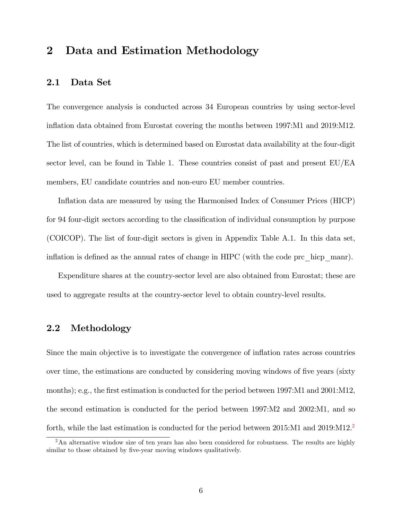# 2 Data and Estimation Methodology

## 2.1 Data Set

The convergence analysis is conducted across 34 European countries by using sector-level inflation data obtained from Eurostat covering the months between 1997:M1 and 2019:M12. The list of countries, which is determined based on Eurostat data availability at the four-digit sector level, can be found in Table 1. These countries consist of past and present EU/EA members, EU candidate countries and non-euro EU member countries.

Inflation data are measured by using the Harmonised Index of Consumer Prices (HICP) for 94 four-digit sectors according to the classification of individual consumption by purpose (COICOP). The list of four-digit sectors is given in Appendix Table A.1. In this data set, inflation is defined as the annual rates of change in HIPC (with the code prc  $\alpha$  hicp manr).

Expenditure shares at the country-sector level are also obtained from Eurostat; these are used to aggregate results at the country-sector level to obtain country-level results.

## 2.2 Methodology

Since the main objective is to investigate the convergence of inflation rates across countries over time, the estimations are conducted by considering moving windows of five years (sixty months); e.g., the first estimation is conducted for the period between 1997:M1 and 2001:M12, the second estimation is conducted for the period between 1997:M2 and 2002:M1, and so forth, while the last estimation is conducted for the period between  $2015:M1$  $2015:M1$  and  $2019:M12<sup>2</sup>$ 

<sup>&</sup>lt;sup>2</sup>An alternative window size of ten years has also been considered for robustness. The results are highly similar to those obtained by five-year moving windows qualitatively.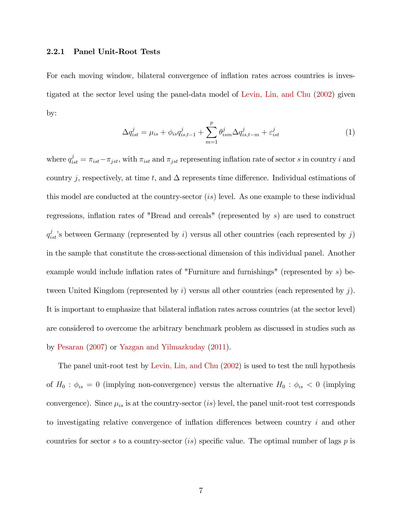#### 2.2.1 Panel Unit-Root Tests

<span id="page-8-0"></span>For each moving window, bilateral convergence of inflation rates across countries is investigated at the sector level using the panel-data model of [Levin, Lin, and Chu](#page-21-1) [\(2002\)](#page-21-1) given by:

$$
\Delta q_{ist}^j = \mu_{is} + \phi_{is} q_{is,t-1}^j + \sum_{m=1}^p \theta_{ism}^j \Delta q_{is,t-m}^j + \varepsilon_{ist}^j \tag{1}
$$

where  $q_{ist}^j = \pi_{ist} - \pi_{jst}$ , with  $\pi_{ist}$  and  $\pi_{jst}$  representing inflation rate of sector s in country i and country j, respectively, at time t, and  $\Delta$  represents time difference. Individual estimations of this model are conducted at the country-sector (is) level. As one example to these individual regressions, inflation rates of "Bread and cereals" (represented by  $s$ ) are used to construct  $q_{ist}^j$ 's between Germany (represented by i) versus all other countries (each represented by j) in the sample that constitute the cross-sectional dimension of this individual panel. Another example would include inflation rates of "Furniture and furnishings" (represented by  $s$ ) between United Kingdom (represented by  $i$ ) versus all other countries (each represented by  $j$ ). It is important to emphasize that bilateral inflation rates across countries (at the sector level) are considered to overcome the arbitrary benchmark problem as discussed in studies such as by [Pesaran](#page-21-2) [\(2007\)](#page-21-2) or [Yazgan and Yilmazkuday](#page-21-3) [\(2011\)](#page-21-3).

The panel unit-root test by [Levin, Lin, and Chu](#page-21-1) [\(2002\)](#page-21-1) is used to test the null hypothesis of  $H_0$ :  $\phi_{is} = 0$  (implying non-convergence) versus the alternative  $H_0$ :  $\phi_{is} < 0$  (implying convergence). Since  $\mu_{is}$  is at the country-sector (is) level, the panel unit-root test corresponds to investigating relative convergence of inflation differences between country  $i$  and other countries for sector s to a country-sector (is) specific value. The optimal number of lags  $p$  is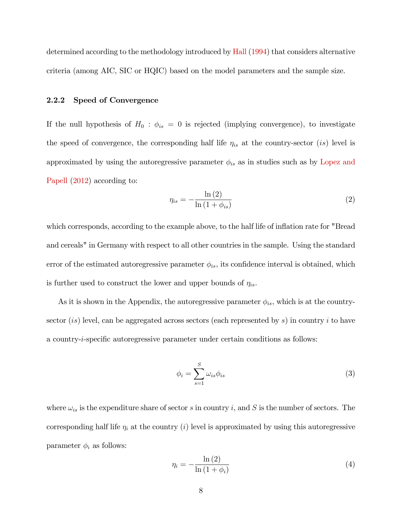determined according to the methodology introduced by [Hall](#page-20-7) [\(1994\)](#page-20-7) that considers alternative criteria (among AIC, SIC or HQIC) based on the model parameters and the sample size.

#### 2.2.2 Speed of Convergence

If the null hypothesis of  $H_0$ :  $\phi_{is} = 0$  is rejected (implying convergence), to investigate the speed of convergence, the corresponding half life  $\eta_{is}$  at the country-sector (is) level is approximated by using the autoregressive parameter  $\phi_{is}$  as in studies such as by [Lopez and](#page-21-4) [Papell](#page-21-4) [\(2012\)](#page-21-4) according to:

<span id="page-9-0"></span>
$$
\eta_{is} = -\frac{\ln\left(2\right)}{\ln\left(1 + \phi_{is}\right)}\tag{2}
$$

which corresponds, according to the example above, to the half life of inflation rate for "Bread" and cereals" in Germany with respect to all other countries in the sample. Using the standard error of the estimated autoregressive parameter  $\phi_{is}$ , its confidence interval is obtained, which is further used to construct the lower and upper bounds of  $\eta_{is}$ .

As it is shown in the Appendix, the autoregressive parameter  $\phi_{is}$ , which is at the countrysector (is) level, can be aggregated across sectors (each represented by s) in country i to have a country-*i*-specific autoregressive parameter under certain conditions as follows:

<span id="page-9-1"></span>
$$
\phi_i = \sum_{s=1}^{S} \omega_{is} \phi_{is} \tag{3}
$$

where  $\omega_{is}$  is the expenditure share of sector s in country i, and S is the number of sectors. The corresponding half life  $\eta_i$  at the country (i) level is approximated by using this autoregressive parameter  $\phi_i$  as follows:

<span id="page-9-2"></span>
$$
\eta_i = -\frac{\ln\left(2\right)}{\ln\left(1 + \phi_i\right)}\tag{4}
$$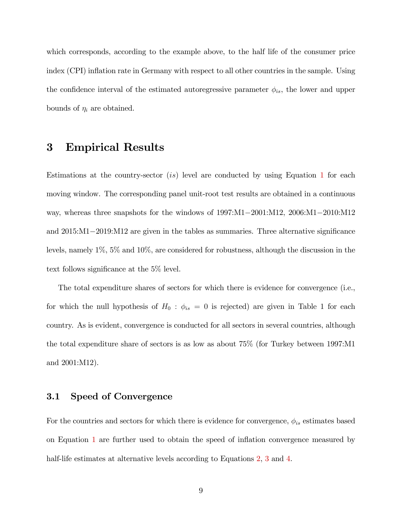which corresponds, according to the example above, to the half life of the consumer price index (CPI) inflation rate in Germany with respect to all other countries in the sample. Using the confidence interval of the estimated autoregressive parameter  $\phi_{is}$ , the lower and upper bounds of  $\eta_i$  are obtained.

# 3 Empirical Results

Estimations at the country-sector (is) level are conducted by using Equation [1](#page-8-0) for each moving window. The corresponding panel unit-root test results are obtained in a continuous way, whereas three snapshots for the windows of  $1997:M1-2001:M12$ ,  $2006:M1-2010:M12$ and  $2015:M1-2019:M12$  are given in the tables as summaries. Three alternative significance levels, namely 1%, 5% and 10%, are considered for robustness, although the discussion in the text follows significance at the  $5\%$  level.

The total expenditure shares of sectors for which there is evidence for convergence (i.e., for which the null hypothesis of  $H_0$ :  $\phi_{is} = 0$  is rejected) are given in Table 1 for each country. As is evident, convergence is conducted for all sectors in several countries, although the total expenditure share of sectors is as low as about 75% (for Turkey between 1997:M1 and 2001:M12).

## 3.1 Speed of Convergence

For the countries and sectors for which there is evidence for convergence,  $\phi_{is}$  estimates based on Equation [1](#page-8-0) are further used to obtain the speed of ináation convergence measured by half-life estimates at alternative levels according to Equations [2,](#page-9-0) [3](#page-9-1) and [4.](#page-9-2)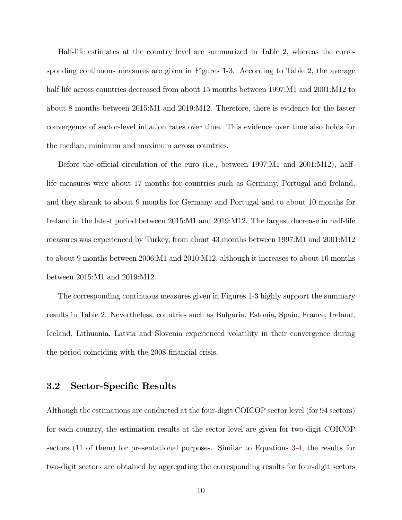Half-life estimates at the country level are summarized in Table 2, whereas the corresponding continuous measures are given in Figures 1-3. According to Table 2, the average half life across countries decreased from about 15 months between 1997:M1 and 2001:M12 to about 8 months between 2015:M1 and 2019:M12. Therefore, there is evidence for the faster convergence of sector-level ináation rates over time. This evidence over time also holds for the median, minimum and maximum across countries.

Before the official circulation of the euro (i.e., between 1997:M1 and 2001:M12), halflife measures were about 17 months for countries such as Germany, Portugal and Ireland, and they shrank to about 9 months for Germany and Portugal and to about 10 months for Ireland in the latest period between 2015:M1 and 2019:M12. The largest decrease in half-life measures was experienced by Turkey, from about 43 months between 1997:M1 and 2001:M12 to about 9 months between 2006:M1 and 2010:M12, although it increases to about 16 months between 2015:M1 and 2019:M12.

The corresponding continuous measures given in Figures 1-3 highly support the summary results in Table 2. Nevertheless, countries such as Bulgaria, Estonia, Spain, France, Ireland, Iceland, Lithuania, Latvia and Slovenia experienced volatility in their convergence during the period coinciding with the 2008 financial crisis.

## 3.2 Sector-Specific Results

Although the estimations are conducted at the four-digit COICOP sector level (for 94 sectors) for each country, the estimation results at the sector level are given for two-digit COICOP sectors (11 of them) for presentational purposes. Similar to Equations [3](#page-9-1)[-4,](#page-9-2) the results for two-digit sectors are obtained by aggregating the corresponding results for four-digit sectors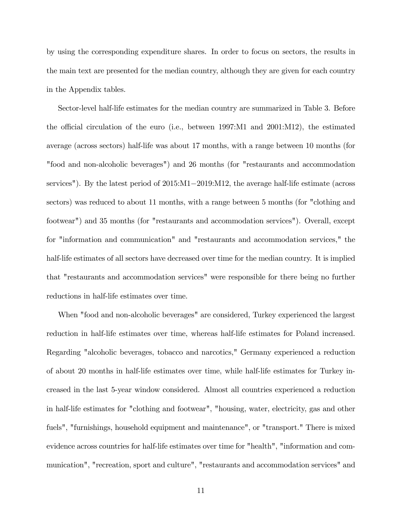by using the corresponding expenditure shares. In order to focus on sectors, the results in the main text are presented for the median country, although they are given for each country in the Appendix tables.

Sector-level half-life estimates for the median country are summarized in Table 3. Before the official circulation of the euro (i.e., between  $1997:M1$  and  $2001:M12$ ), the estimated average (across sectors) half-life was about 17 months, with a range between 10 months (for "food and non-alcoholic beverages") and 26 months (for "restaurants and accommodation services"). By the latest period of  $2015:M1-2019:M12$ , the average half-life estimate (across sectors) was reduced to about 11 months, with a range between 5 months (for "clothing and footwear") and 35 months (for "restaurants and accommodation services"). Overall, except for "information and communication" and "restaurants and accommodation services," the half-life estimates of all sectors have decreased over time for the median country. It is implied that "restaurants and accommodation services" were responsible for there being no further reductions in half-life estimates over time.

When "food and non-alcoholic beverages" are considered, Turkey experienced the largest reduction in half-life estimates over time, whereas half-life estimates for Poland increased. Regarding "alcoholic beverages, tobacco and narcotics," Germany experienced a reduction of about 20 months in half-life estimates over time, while half-life estimates for Turkey increased in the last 5-year window considered. Almost all countries experienced a reduction in half-life estimates for "clothing and footwear", "housing, water, electricity, gas and other fuels", "furnishings, household equipment and maintenance", or "transport." There is mixed evidence across countries for half-life estimates over time for "health", "information and communication", "recreation, sport and culture", "restaurants and accommodation services" and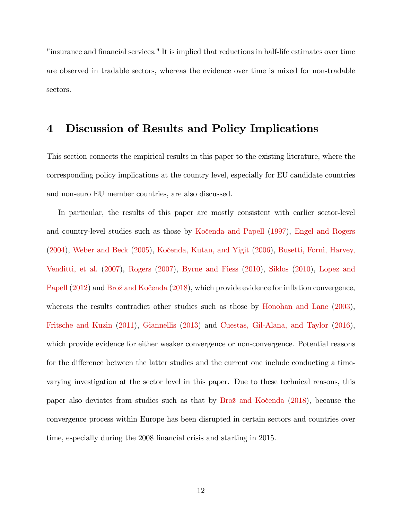"insurance and financial services." It is implied that reductions in half-life estimates over time are observed in tradable sectors, whereas the evidence over time is mixed for non-tradable sectors.

# 4 Discussion of Results and Policy Implications

This section connects the empirical results in this paper to the existing literature, where the corresponding policy implications at the country level, especially for EU candidate countries and non-euro EU member countries, are also discussed.

In particular, the results of this paper are mostly consistent with earlier sector-level and country-level studies such as those by Kočenda and Papell [\(1997\)](#page-21-5), [Engel and Rogers](#page-20-2)  $(2004)$ , [Weber and Beck](#page-21-8)  $(2005)$ , Kočenda, Kutan, and Yigit  $(2006)$ , [Busetti, Forni, Harvey,](#page-19-0) [Venditti, et al.](#page-19-0) [\(2007\)](#page-19-0), [Rogers](#page-21-7) [\(2007\)](#page-21-7), [Byrne and Fiess](#page-20-1) [\(2010\)](#page-20-1), [Siklos](#page-21-0) [\(2010\)](#page-21-0), [Lopez and](#page-21-4) [Papell](#page-21-4) [\(2012\)](#page-21-4) and Brož and Kočenda [\(2018\)](#page-19-1), which provide evidence for inflation convergence, whereas the results contradict other studies such as those by [Honohan and Lane](#page-20-3) [\(2003\)](#page-20-3), [Fritsche and Kuzin](#page-20-4) [\(2011\)](#page-20-4), [Giannellis](#page-20-5) [\(2013\)](#page-20-5) and [Cuestas, Gil-Alana, and Taylor](#page-20-6) [\(2016\)](#page-20-6), which provide evidence for either weaker convergence or non-convergence. Potential reasons for the difference between the latter studies and the current one include conducting a timevarying investigation at the sector level in this paper. Due to these technical reasons, this paper also deviates from studies such as that by Brož and Kočenda [\(2018\)](#page-19-1), because the convergence process within Europe has been disrupted in certain sectors and countries over time, especially during the 2008 financial crisis and starting in 2015.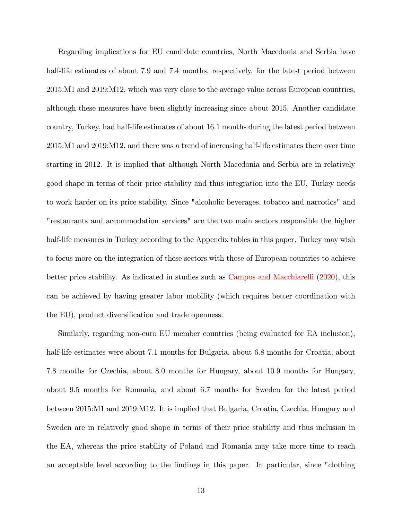Regarding implications for EU candidate countries, North Macedonia and Serbia have half-life estimates of about 7.9 and 7.4 months, respectively, for the latest period between 2015:M1 and 2019:M12, which was very close to the average value across European countries, although these measures have been slightly increasing since about 2015. Another candidate country, Turkey, had half-life estimates of about 16:1 months during the latest period between 2015:M1 and 2019:M12, and there was a trend of increasing half-life estimates there over time starting in 2012. It is implied that although North Macedonia and Serbia are in relatively good shape in terms of their price stability and thus integration into the EU, Turkey needs to work harder on its price stability. Since "alcoholic beverages, tobacco and narcotics" and "restaurants and accommodation services" are the two main sectors responsible the higher half-life measures in Turkey according to the Appendix tables in this paper, Turkey may wish to focus more on the integration of these sectors with those of European countries to achieve better price stability. As indicated in studies such as [Campos and Macchiarelli](#page-20-8) [\(2020\)](#page-20-8), this can be achieved by having greater labor mobility (which requires better coordination with the EU), product diversification and trade openness.

Similarly, regarding non-euro EU member countries (being evaluated for EA inclusion), half-life estimates were about 7.1 months for Bulgaria, about 6.8 months for Croatia, about 7:8 months for Czechia, about 8:0 months for Hungary, about 10:9 months for Hungary, about 9:5 months for Romania, and about 6:7 months for Sweden for the latest period between 2015:M1 and 2019:M12. It is implied that Bulgaria, Croatia, Czechia, Hungary and Sweden are in relatively good shape in terms of their price stability and thus inclusion in the EA, whereas the price stability of Poland and Romania may take more time to reach an acceptable level according to the Öndings in this paper. In particular, since "clothing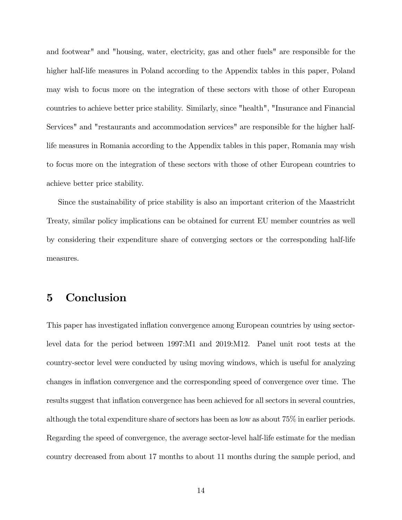and footwear" and "housing, water, electricity, gas and other fuels" are responsible for the higher half-life measures in Poland according to the Appendix tables in this paper, Poland may wish to focus more on the integration of these sectors with those of other European countries to achieve better price stability. Similarly, since "health", "Insurance and Financial Services" and "restaurants and accommodation services" are responsible for the higher halflife measures in Romania according to the Appendix tables in this paper, Romania may wish to focus more on the integration of these sectors with those of other European countries to achieve better price stability.

Since the sustainability of price stability is also an important criterion of the Maastricht Treaty, similar policy implications can be obtained for current EU member countries as well by considering their expenditure share of converging sectors or the corresponding half-life measures.

# 5 Conclusion

This paper has investigated ináation convergence among European countries by using sectorlevel data for the period between 1997:M1 and 2019:M12. Panel unit root tests at the country-sector level were conducted by using moving windows, which is useful for analyzing changes in inflation convergence and the corresponding speed of convergence over time. The results suggest that inflation convergence has been achieved for all sectors in several countries, although the total expenditure share of sectors has been as low as about 75% in earlier periods. Regarding the speed of convergence, the average sector-level half-life estimate for the median country decreased from about 17 months to about 11 months during the sample period, and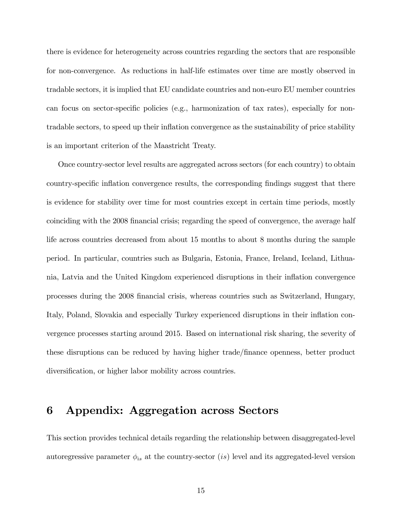there is evidence for heterogeneity across countries regarding the sectors that are responsible for non-convergence. As reductions in half-life estimates over time are mostly observed in tradable sectors, it is implied that EU candidate countries and non-euro EU member countries can focus on sector-specific policies (e.g., harmonization of tax rates), especially for nontradable sectors, to speed up their ináation convergence as the sustainability of price stability is an important criterion of the Maastricht Treaty.

Once country-sector level results are aggregated across sectors (for each country) to obtain country-specific inflation convergence results, the corresponding findings suggest that there is evidence for stability over time for most countries except in certain time periods, mostly coinciding with the 2008 financial crisis; regarding the speed of convergence, the average half life across countries decreased from about 15 months to about 8 months during the sample period. In particular, countries such as Bulgaria, Estonia, France, Ireland, Iceland, Lithuania, Latvia and the United Kingdom experienced disruptions in their inflation convergence processes during the 2008 Önancial crisis, whereas countries such as Switzerland, Hungary, Italy, Poland, Slovakia and especially Turkey experienced disruptions in their inflation convergence processes starting around 2015. Based on international risk sharing, the severity of these disruptions can be reduced by having higher trade/Önance openness, better product diversification, or higher labor mobility across countries.

# 6 Appendix: Aggregation across Sectors

This section provides technical details regarding the relationship between disaggregated-level autoregressive parameter  $\phi_{is}$  at the country-sector (is) level and its aggregated-level version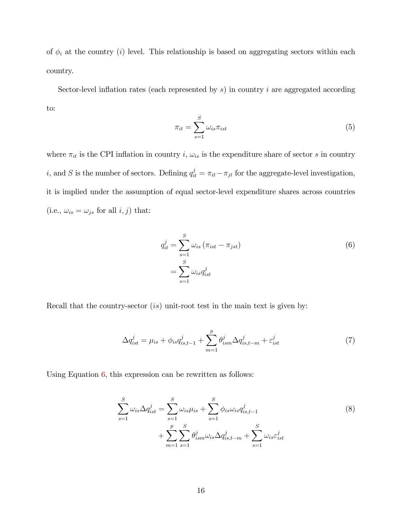of  $\phi_i$  at the country (i) level. This relationship is based on aggregating sectors within each country.

Sector-level inflation rates (each represented by  $s$ ) in country i are aggregated according to:

$$
\pi_{it} = \sum_{s=1}^{S} \omega_{is} \pi_{ist} \tag{5}
$$

where  $\pi_{it}$  is the CPI inflation in country i,  $\omega_{is}$  is the expenditure share of sector s in country *i*, and *S* is the number of sectors. Defining  $q_{it}^j = \pi_{it} - \pi_{jt}$  for the aggregate-level investigation, it is implied under the assumption of equal sector-level expenditure shares across countries (i.e.,  $\omega_{is} = \omega_{js}$  for all  $i, j$ ) that:

<span id="page-17-1"></span><span id="page-17-0"></span>
$$
q_{it}^{j} = \sum_{s=1}^{S} \omega_{is} (\pi_{ist} - \pi_{jst})
$$
  
= 
$$
\sum_{s=1}^{S} \omega_{is} q_{ist}^{j}
$$
 (6)

Recall that the country-sector *(is)* unit-root test in the main text is given by:

$$
\Delta q_{ist}^j = \mu_{is} + \phi_{is} q_{is,t-1}^j + \sum_{m=1}^p \theta_{ism}^j \Delta q_{is,t-m}^j + \varepsilon_{ist}^j \tag{7}
$$

Using Equation  $6$ , this expression can be rewritten as follows:

$$
\sum_{s=1}^{S} \omega_{is} \Delta q_{ist}^{j} = \sum_{s=1}^{S} \omega_{is} \mu_{is} + \sum_{s=1}^{S} \phi_{is} \omega_{is} q_{is,t-1}^{j} + \sum_{m=1}^{P} \sum_{s=1}^{S} \theta_{ism}^{j} \omega_{is} \Delta q_{is,t-m}^{j} + \sum_{s=1}^{S} \omega_{is} \varepsilon_{ist}^{j}
$$
\n(8)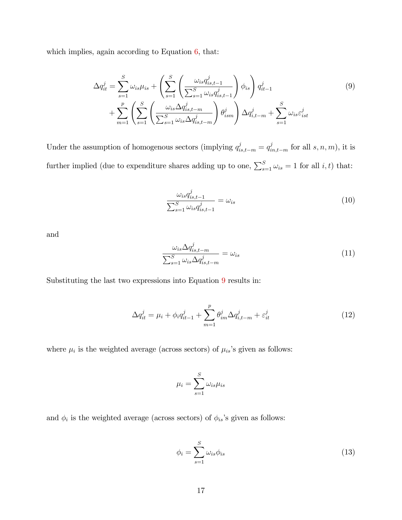which implies, again according to Equation  $6$ , that:

$$
\Delta q_{it}^j = \sum_{s=1}^S \omega_{is} \mu_{is} + \left( \sum_{s=1}^S \left( \frac{\omega_{is} q_{is,t-1}^j}{\sum_{s=1}^S \omega_{is} q_{is,t-1}^j} \right) \phi_{is} \right) q_{it-1}^j
$$
\n
$$
+ \sum_{m=1}^p \left( \sum_{s=1}^S \left( \frac{\omega_{is} \Delta q_{is,t-m}^j}{\sum_{s=1}^S \omega_{is} \Delta q_{is,t-m}^j} \right) \theta_{ism}^j \right) \Delta q_{i,t-m}^j + \sum_{s=1}^S \omega_{is} \varepsilon_{ist}^j
$$
\n(9)

Under the assumption of homogenous sectors (implying  $q_{is,t-m}^j = q_{in,t-m}^j$  for all  $s, n, m$ ), it is further implied (due to expenditure shares adding up to one,  $\sum_{s=1}^{S} \omega_{is} = 1$  for all *i*, *t*) that:

<span id="page-18-0"></span>
$$
\frac{\omega_{is}q_{is,t-1}^j}{\sum_{s=1}^S \omega_{is}q_{is,t-1}^j} = \omega_{is}
$$
\n(10)

and

<span id="page-18-1"></span>
$$
\frac{\omega_{is}\Delta q_{is,t-m}^j}{\sum_{s=1}^S \omega_{is}\Delta q_{is,t-m}^j} = \omega_{is}
$$
\n(11)

Substituting the last two expressions into Equation [9](#page-18-0) results in:

$$
\Delta q_{it}^{j} = \mu_{i} + \phi_{i} q_{it-1}^{j} + \sum_{m=1}^{p} \theta_{im}^{j} \Delta q_{i,t-m}^{j} + \varepsilon_{it}^{j}
$$
\n(12)

where  $\mu_i$  is the weighted average (across sectors) of  $\mu_{is}$ 's given as follows:

$$
\mu_i = \sum_{s=1}^S \omega_{is} \mu_{is}
$$

and  $\phi_i$  is the weighted average (across sectors) of  $\phi_{is}$ 's given as follows:

$$
\phi_i = \sum_{s=1}^{S} \omega_{is} \phi_{is} \tag{13}
$$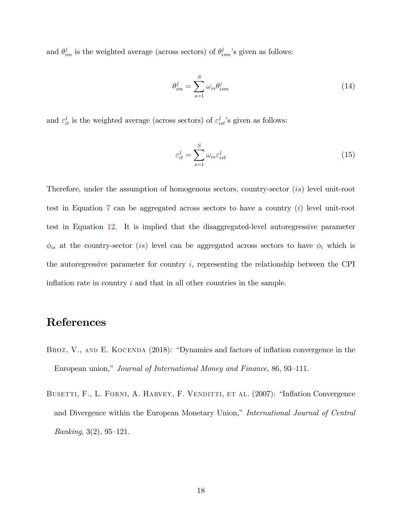and  $\theta_{im}^j$  is the weighted average (across sectors) of  $\theta_{ism}^j$ 's given as follows:

$$
\theta_{im}^j = \sum_{s=1}^S \omega_{is} \theta_{ism}^j \tag{14}
$$

and  $\varepsilon_{it}^j$  is the weighted average (across sectors) of  $\varepsilon_{ist}^j$ 's given as follows:

$$
\varepsilon_{it}^j = \sum_{s=1}^S \omega_{is} \varepsilon_{ist}^j \tag{15}
$$

Therefore, under the assumption of homogenous sectors, country-sector (is) level unit-root test in Equation [7](#page-17-1) can be aggregated across sectors to have a country (i) level unit-root test in Equation [12.](#page-18-1) It is implied that the disaggregated-level autoregressive parameter  $\phi_{is}$  at the country-sector (is) level can be aggregated across sectors to have  $\phi_i$  which is the autoregressive parameter for country i, representing the relationship between the CPI inflation rate in country  $i$  and that in all other countries in the sample.

# References

- <span id="page-19-1"></span>BROŽ, V., AND E. KOČENDA  $(2018)$ : "Dynamics and factors of inflation convergence in the European union," Journal of International Money and Finance, 86, 93–111.
- <span id="page-19-0"></span>BUSETTI, F., L. FORNI, A. HARVEY, F. VENDITTI, ET AL. (2007): "Inflation Convergence and Divergence within the European Monetary Union," International Journal of Central *Banking*,  $3(2)$ ,  $95-121$ .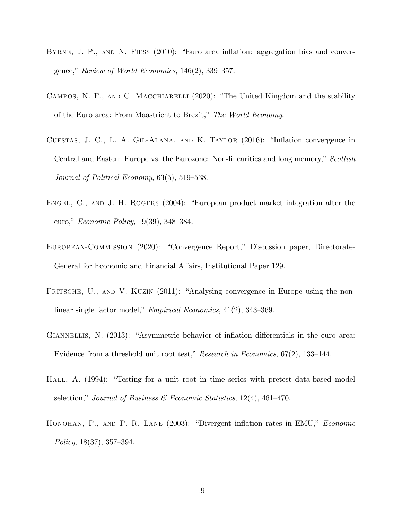- <span id="page-20-1"></span>BYRNE, J. P., AND N. FIESS (2010): "Euro area inflation: aggregation bias and convergence," Review of World Economics,  $146(2)$ ,  $339-357$ .
- <span id="page-20-8"></span>CAMPOS, N. F., AND C. MACCHIARELLI (2020): "The United Kingdom and the stability of the Euro area: From Maastricht to Brexit," The World Economy.
- <span id="page-20-6"></span>CUESTAS, J. C., L. A. GIL-ALANA, AND K. TAYLOR  $(2016)$ : "Inflation convergence in Central and Eastern Europe vs. the Eurozone: Non-linearities and long memory," Scottish Journal of Political Economy,  $63(5)$ ,  $519-538$ .
- <span id="page-20-2"></span>ENGEL, C., AND J. H. ROGERS (2004): "European product market integration after the euro," *Economic Policy*, 19(39), 348–384.
- <span id="page-20-0"></span>EUROPEAN-COMMISSION (2020): "Convergence Report," Discussion paper, Directorate-General for Economic and Financial Affairs, Institutional Paper 129.
- <span id="page-20-4"></span>FRITSCHE, U., AND V. KUZIN (2011): "Analysing convergence in Europe using the nonlinear single factor model," *Empirical Economics*,  $41(2)$ ,  $343-369$ .
- <span id="page-20-5"></span>GIANNELLIS, N. (2013): "Asymmetric behavior of inflation differentials in the euro area: Evidence from a threshold unit root test," Research in Economics,  $67(2)$ , 133–144.
- <span id="page-20-7"></span>HALL, A. (1994): "Testing for a unit root in time series with pretest data-based model selection," Journal of Business & Economic Statistics, 12(4), 461–470.
- <span id="page-20-3"></span>HONOHAN, P., AND P. R. LANE  $(2003)$ : "Divergent inflation rates in EMU," *Economic* Policy,  $18(37)$ ,  $357-394$ .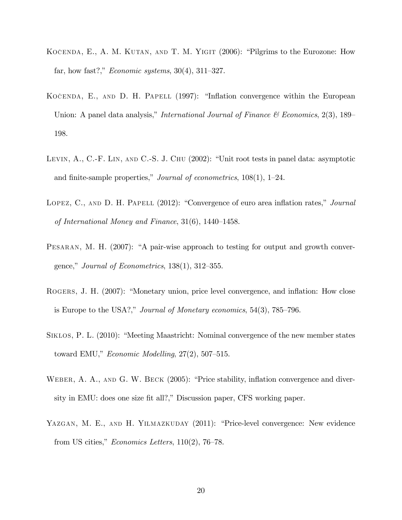- <span id="page-21-6"></span>KOČENDA, E., A. M. KUTAN, AND T. M. YIGIT  $(2006)$ : "Pilgrims to the Eurozone: How far, how fast?," *Economic systems*,  $30(4)$ ,  $311-327$ .
- <span id="page-21-5"></span>KOČENDA, E., AND D. H. PAPELL  $(1997)$ : "Inflation convergence within the European Union: A panel data analysis," International Journal of Finance & Economics, 2(3), 189 198.
- <span id="page-21-1"></span>LEVIN,  $A_{\cdot}$ , C.-F. LIN, AND C.-S. J. CHU (2002): "Unit root tests in panel data: asymptotic and finite-sample properties," Journal of econometrics,  $108(1)$ , 1–24.
- <span id="page-21-4"></span>LOPEZ, C., AND D. H. PAPELL  $(2012)$ : "Convergence of euro area inflation rates," *Journal* of International Money and Finance,  $31(6)$ ,  $1440-1458$ .
- <span id="page-21-2"></span>PESARAN, M. H. (2007): "A pair-wise approach to testing for output and growth convergence," Journal of Econometrics,  $138(1)$ ,  $312-355$ .
- <span id="page-21-7"></span>ROGERS, J. H. (2007): "Monetary union, price level convergence, and inflation: How close is Europe to the USA?," Journal of Monetary economics,  $54(3)$ ,  $785-796$ .
- <span id="page-21-0"></span>SIKLOS, P. L. (2010): "Meeting Maastricht: Nominal convergence of the new member states toward EMU,"  $Economic \; Modelling, 27(2), 507-515.$
- <span id="page-21-8"></span>WEBER, A. A., AND G. W. BECK  $(2005)$ : "Price stability, inflation convergence and diversity in EMU: does one size fit all?," Discussion paper, CFS working paper.
- <span id="page-21-3"></span>YAZGAN, M. E., AND H. YILMAZKUDAY (2011): "Price-level convergence: New evidence from US cities," *Economics Letters*,  $110(2)$ , 76–78.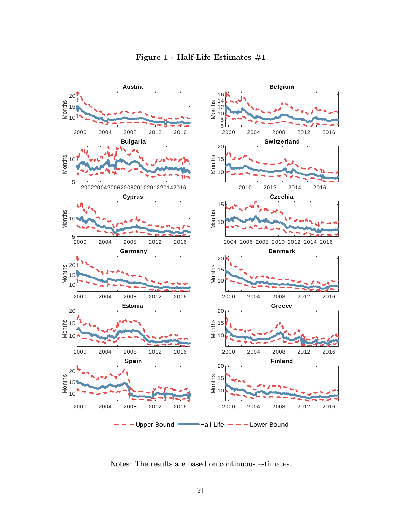

Notes: The results are based on continuous estimates.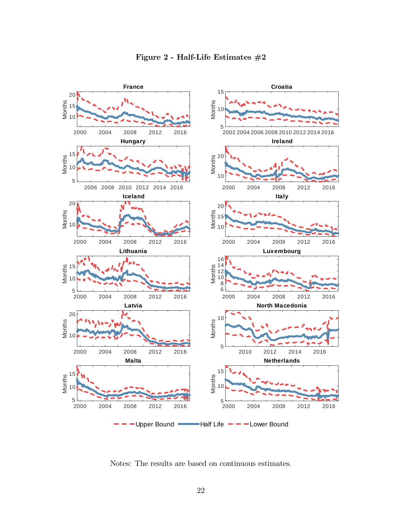

Notes: The results are based on continuous estimates.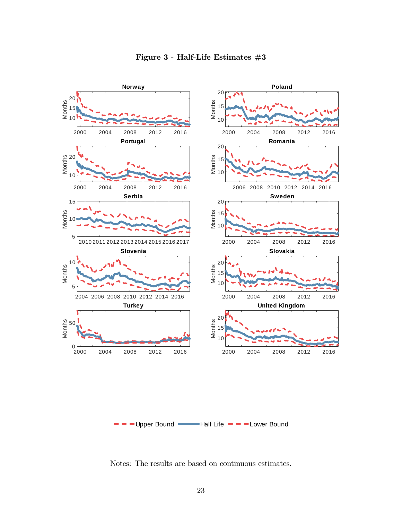

Figure 3 - Half-Life Estimates  $#3$ 

Notes: The results are based on continuous estimates.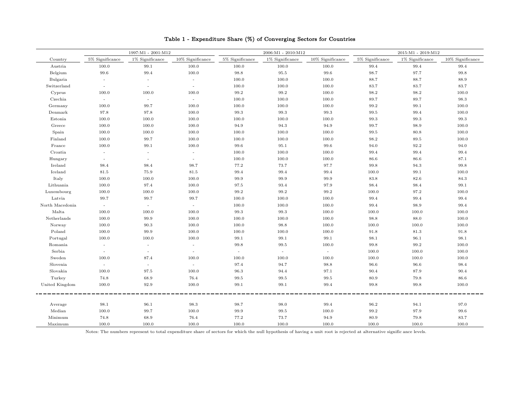|                 | 1997:M1 - 2001:M12       |                    |                  |                    | 2006:M1 - 2010:M12 |                  | 2015:M1 - 2019:M12 |                    |                     |
|-----------------|--------------------------|--------------------|------------------|--------------------|--------------------|------------------|--------------------|--------------------|---------------------|
| Country         | $5\%$ Significance       | $1\%$ Significance | 10% Significance | $5\%$ Significance | $1\%$ Significance | 10% Significance | $5\%$ Significance | $1\%$ Significance | $10\%$ Significance |
| Austria         | 100.0                    | 99.1               | 100.0            | 100.0              | 100.0              | 100.0            | 99.4               | 99.4               | 99.4                |
| Belgium         | 99.6                     | 99.4               | 100.0            | 98.8               | 95.5               | 99.6             | 98.7               | 97.7               | 99.8                |
| Bulgaria        | $\sim$                   | $\sim$             | $\sim$           | 100.0              | 100.0              | 100.0            | 88.7               | 88.7               | 88.9                |
| Switzerland     | $\sim$                   | $\sim$             | $\sim$           | 100.0              | 100.0              | 100.0            | 83.7               | 83.7               | 83.7                |
| Cyprus          | 100.0                    | 100.0              | 100.0            | 99.2               | 99.2               | 100.0            | 98.2               | 98.2               | 100.0               |
| Czechia         | $\sim$                   | $\sim$             | $\sim$           | 100.0              | 100.0              | 100.0            | 89.7               | 89.7               | 98.3                |
| Germany         | 100.0                    | 99.7               | 100.0            | 100.0              | 100.0              | 100.0            | 99.2               | 99.1               | 100.0               |
| Denmark         | 97.8                     | 97.8               | 100.0            | 99.3               | 99.3               | 99.3             | 99.5               | 99.4               | 100.0               |
| Estonia         | 100.0                    | 100.0              | 100.0            | 100.0              | 100.0              | 100.0            | 99.3               | 99.3               | 99.3                |
| Greece          | 100.0                    | 100.0              | 100.0            | 94.9               | 94.3               | 94.9             | 99.7               | 98.9               | 100.0               |
| Spain           | 100.0                    | 100.0              | 100.0            | 100.0              | 100.0              | 100.0            | 99.5               | 80.8               | 100.0               |
| Finland         | 100.0                    | 99.7               | 100.0            | 100.0              | 100.0              | 100.0            | 98.2               | 89.5               | 100.0               |
| France          | 100.0                    | 99.1               | 100.0            | 99.6               | 95.1               | 99.6             | 94.0               | 92.2               | 94.0                |
| Croatia         | $\overline{\phantom{a}}$ |                    | $\sim$           | 100.0              | 100.0              | 100.0            | 99.4               | 99.4               | 99.4                |
| Hungary         | $\sim$                   | $\sim$             | $\sim$           | 100.0              | 100.0              | 100.0            | 86.6               | 86.6               | 87.1                |
| Ireland         | 98.4                     | 98.4               | 98.7             | 77.2               | 73.7               | 97.7             | 99.8               | 94.3               | 99.8                |
| Iceland         | 81.5                     | 75.9               | 81.5             | 99.4               | 99.4               | 99.4             | 100.0              | 99.1               | 100.0               |
| Italy           | 100.0                    | 100.0              | 100.0            | 99.9               | 99.9               | 99.9             | 83.8               | 82.6               | 84.3                |
| Lithuania       | 100.0                    | 97.4               | 100.0            | 97.5               | 93.4               | 97.9             | 98.4               | 98.4               | 99.1                |
| Luxembourg      | 100.0                    | 100.0              | 100.0            | 99.2               | 99.2               | 99.2             | 100.0              | 97.2               | 100.0               |
| Latvia          | 99.7                     | 99.7               | 99.7             | 100.0              | 100.0              | 100.0            | 99.4               | 99.4               | 99.4                |
| North Macedonia | $\sim$                   | $\sim$             | $\sim$           | 100.0              | 100.0              | 100.0            | 99.4               | 98.9               | 99.4                |
| Malta           | 100.0                    | 100.0              | 100.0            | 99.3               | 99.3               | 100.0            | 100.0              | 100.0              | 100.0               |
| Netherlands     | 100.0                    | 99.9               | 100.0            | 100.0              | 100.0              | 100.0            | 98.8               | 88.0               | 100.0               |
| Norway          | 100.0                    | 90.3               | 100.0            | 100.0              | 98.8               | 100.0            | 100.0              | 100.0              | 100.0               |
| Poland          | 100.0                    | 99.9               | 100.0            | 100.0              | 100.0              | 100.0            | 91.8               | 81.3               | 91.8                |
| Portugal        | 100.0                    | 100.0              | 100.0            | 99.1               | 99.1               | 99.1             | 98.1               | 96.1               | 98.1                |
| Romania         | $\overline{a}$           | $\sim$             | $\sim$           | 99.8               | 99.5               | 100.0            | 99.8               | 99.2               | 100.0               |
| Serbia          | $\sim$                   | $\sim$             | $\sim$           | $\sim$             | $\sim$             | $\sim$           | 100.0              | 100.0              | 100.0               |
| Sweden          | 100.0                    | 87.4               | 100.0            | 100.0              | 100.0              | 100.0            | 100.0              | 100.0              | 100.0               |
| Slovenia        | $\sim$                   | $\sim$             | $\sim$           | 97.4               | 94.7               | 98.8             | 96.6               | 96.6               | 98.4                |
| Slovakia        | 100.0                    | 97.5               | 100.0            | 96.3               | 94.4               | 97.1             | 90.4               | 87.9               | 90.4                |
| Turkey          | 74.8                     | 68.9               | 76.4             | 99.5               | 99.5               | 99.5             | 80.9               | 79.8               | 86.6                |
| United Kingdom  | 100.0                    | 92.9               | 100.0            | 99.1               | 99.1               | 99.4             | 99.8               | 99.8               | 100.0               |
|                 |                          |                    |                  |                    |                    |                  |                    |                    |                     |
| Average         | 98.1                     | 96.1               | 98.3             | 98.7               | 98.0               | 99.4             | 96.2               | 94.1               | 97.0                |
| Median          | 100.0                    | 99.7               | 100.0            | 99.9               | 99.5               | 100.0            | 99.2               | 97.9               | 99.6                |
| Minimum         | 74.8                     | 68.9               | 76.4             | 77.2               | 73.7               | 94.9             | 80.9               | 79.8               | 83.7                |
| Maximum         | 100.0                    | 100.0              | 100.0            | 100.0              | 100.0              | 100.0            | 100.0              | 100.0              | 100.0               |

#### Table 1 - Expenditure Share (%) of Converging Sectors for Countries

Notes: The numbers represent to total expenditure share of sectors for which the null hypothesis of having a unit root is rejected at alternative signific ance levels.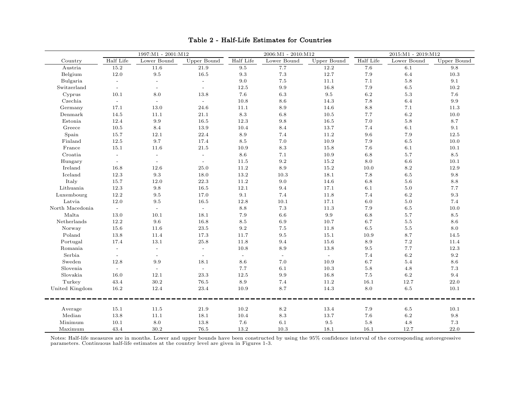|                 |              | 1997:M1 - 2001:M12       |             |           | $2006:M1 - 2010:M12$ |             |           | 2015:M1 - 2019:M12 |                    |
|-----------------|--------------|--------------------------|-------------|-----------|----------------------|-------------|-----------|--------------------|--------------------|
| Country         | Half Life    | Lower Bound              | Upper Bound | Half Life | Lower Bound          | Upper Bound | Half Life | Lower Bound        | Upper Bound        |
| Austria         | 15.2         | 11.6                     | 21.9        | 9.5       | 7.7                  | 12.2        | 7.6       | 6.1                | 9.8                |
| Belgium         | $12.0\,$     | 9.5                      | 16.5        | $\rm 9.3$ | $7.3\,$              | 12.7        | 7.9       | 6.4                | $10.3\,$           |
| Bulgaria        | $\equiv$     | $\sim$                   | $\equiv$    | $9.0\,$   | $7.5\,$              | 11.1        | 7.1       | $5.8\,$            | 9.1                |
| Switzerland     |              | $\overline{a}$           | $\equiv$    | 12.5      | 9.9                  | 16.8        | 7.9       | 6.5                | 10.2               |
| Cyprus          | 10.1         | 8.0                      | 13.8        | 7.6       | 6.3                  | 9.5         | $6.2\,$   | 5.3                | 7.6                |
| Czechia         | $\sim$       | $\sim$                   | $\sim$      | 10.8      | 8.6                  | 14.3        | $7.8\,$   | 6.4                | 9.9                |
| Germany         | 17.1         | 13.0                     | 24.6        | 11.1      | 8.9                  | 14.6        | 8.8       | 7.1                | 11.3               |
| Denmark         | 14.5         | 11.1                     | 21.1        | 8.3       | 6.8                  | 10.5        | 7.7       | 6.2                | 10.0               |
| Estonia         | 12.4         | $\rm 9.9$                | 16.5        | 12.3      | 9.8                  | 16.5        | $7.0\,$   | $5.8\,$            | 8.7                |
| Greece          | 10.5         | 8.4                      | 13.9        | 10.4      | 8.4                  | 13.7        | 7.4       | 6.1                | 9.1                |
| Spain           | 15.7         | 12.1                     | 22.4        | 8.9       | 7.4                  | 11.2        | 9.6       | 7.9                | 12.5               |
| Finland         | 12.5         | 9.7                      | 17.4        | $8.5\,$   | $7.0\,$              | 10.9        | 7.9       | 6.5                | 10.0               |
| France          | 15.1         | 11.6                     | 21.5        | 10.9      | 8.3                  | 15.8        | 7.6       | 6.1                | 10.1               |
| Croatia         | $\mathbf{r}$ | $\equiv$                 | $\equiv$    | 8.6       | 7.1                  | 10.9        | $6.8\,$   | 5.7                | 8.5                |
| Hungary         | $\equiv$     | $\sim$                   | $\sim$      | 11.5      | $\,9.2$              | 15.2        | $8.0\,$   | 6.6                | 10.1               |
| Ireland         | 16.8         | 12.6                     | 25.0        | 11.2      | 8.9                  | 15.2        | 10.0      | 8.2                | 12.9               |
| Iceland         | 12.3         | 9.3                      | 18.0        | 13.2      | 10.3                 | 18.1        | 7.8       | 6.5                | 9.8                |
| Italy           | 15.7         | 12.0                     | 22.3        | 11.2      | 9.0                  | 14.6        | $6.8\,$   | 5.6                | 8.8                |
| Lithuania       | 12.3         | 9.8                      | 16.5        | 12.1      | 9.4                  | 17.1        | 6.1       | 5.0                | 7.7                |
| Luxembourg      | 12.2         | 9.5                      | 17.0        | 9.1       | 7.4                  | 11.8        | 7.4       | 6.2                | 9.3                |
| Latvia          | 12.0         | 9.5                      | 16.5        | 12.8      | 10.1                 | 17.1        | $6.0\,$   | $5.0\,$            | 7.4                |
| North Macedonia | $\sim$       | $\sim$                   | $\sim$      | $8.8\,$   | 7.3                  | 11.3        | 7.9       | 6.5                | 10.0               |
| Malta           | 13.0         | 10.1                     | 18.1        | 7.9       | 6.6                  | 9.9         | $6.8\,$   | 5.7                | 8.5                |
| Netherlands     | 12.2         | 9.6                      | 16.8        | $8.5\,$   | 6.9                  | 10.7        | 6.7       | 5.5                | 8.6                |
| Norway          | 15.6         | 11.6                     | 23.5        | 9.2       | 7.5                  | 11.8        | $6.5\,$   | 5.5                | 8.0                |
| Poland          | 13.8         | 11.4                     | 17.3        | 11.7      | 9.5                  | 15.1        | 10.9      | 8.7                | 14.5               |
| Portugal        | 17.4         | 13.1                     | 25.8        | 11.8      | 9.4                  | 15.6        | 8.9       | 7.2                | 11.4               |
| Romania         | $\mathbf{r}$ | $\overline{\phantom{a}}$ | $\omega$    | 10.8      | 8.9                  | 13.8        | $9.5\,$   | 7.7                | 12.3               |
| Serbia          | $\equiv$     | $\overline{\phantom{a}}$ | $\omega$    | $\omega$  | $\omega$             | $\omega$    | 7.4       | 6.2                | 9.2                |
| Sweden          | 12.8         | 9.9                      | 18.1        | 8.6       | 7.0                  | 10.9        | 6.7       | 5.4                | 8.6                |
| Slovenia        | $\sim$       | $\sim$                   | $\sim$      | 7.7       | 6.1                  | 10.3        | $5.8\,$   | 4.8                | 7.3                |
| Slovakia        | 16.0         | 12.1                     | 23.3        | 12.5      | 9.9                  | 16.8        | $7.5\,$   | 6.2                | 9.4                |
| Turkey          | 43.4         | 30.2                     | 76.5        | 8.9       | 7.4                  | 11.2        | 16.1      | 12.7               | 22.0               |
| United Kingdom  | 16.2         | 12.4                     | $23.4\,$    | 10.9      | $8.7\,$              | 14.3        | $8.0\,$   | $6.5\,$            | 10.1               |
| Average         | 15.1         | 11.5                     | 21.9        | 10.2      | 8.2                  | 13.4        | 7.9       | 6.5                | 10.1               |
| Median          | 13.8         | 11.1                     | 18.1        | 10.4      | 8.3                  | 13.7        | 7.6       | 6.2                | $\boldsymbol{9.8}$ |
| Minimum         | 10.1         | 8.0                      | 13.8        | 7.6       | 6.1                  | 9.5         | $5.8\,$   | 4.8                | 7.3                |
| Maximum         | 43.4         | 30.2                     | 76.5        | 13.2      | 10.3                 | 18.1        | 16.1      | 12.7               | 22.0               |

# Table 2 - Half-Life Estimates for Countries

Notes: Half-life measures are in months. Lower and upper bounds have been constructed by using the 95% confidence interval of the corresponding autoregressive parameters. Continuous half-life estimates at the country level are given in Figures 1-3.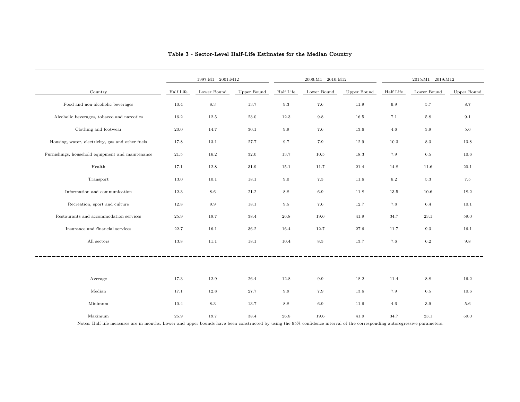|                                                  |           | 1997:M1 - 2001:M12 |             |           | $2006:M1 - 2010:M12$ |             |           | $2015:M1 - 2019:M12$ |             |
|--------------------------------------------------|-----------|--------------------|-------------|-----------|----------------------|-------------|-----------|----------------------|-------------|
| Country                                          | Half Life | Lower Bound        | Upper Bound | Half Life | Lower Bound          | Upper Bound | Half Life | Lower Bound          | Upper Bound |
| Food and non-alcoholic beverages                 | 10.4      | $8.3\,$            | 13.7        | 9.3       | 7.6                  | 11.9        | 6.9       | 5.7                  | 8.7         |
| Alcoholic beverages, tobacco and narcotics       | 16.2      | 12.5               | 23.0        | 12.3      | $9.8\,$              | 16.5        | 7.1       | $5.8\,$              | 9.1         |
| Clothing and footwear                            | 20.0      | 14.7               | 30.1        | 9.9       | 7.6                  | 13.6        | 4.6       | 3.9                  | $5.6\,$     |
| Housing, water, electricity, gas and other fuels | 17.8      | 13.1               | 27.7        | 9.7       | 7.9                  | 12.9        | 10.3      | 8.3                  | 13.8        |
| Furnishings, household equipment and maintenance | 21.5      | 16.2               | 32.0        | 13.7      | 10.5                 | 18.3        | 7.9       | 6.5                  | 10.6        |
| Health                                           | 17.1      | 12.8               | 31.9        | 15.1      | 11.7                 | 21.4        | 14.8      | 11.6                 | 20.1        |
| Transport                                        | 13.0      | 10.1               | 18.1        | 9.0       | 7.3                  | 11.6        | 6.2       | 5.3                  | 7.5         |
| Information and communication                    | 12.3      | 8.6                | 21.2        | 8.8       | 6.9                  | 11.8        | 13.5      | 10.6                 | 18.2        |
| Recreation, sport and culture                    | 12.8      | 9.9                | 18.1        | 9.5       | 7.6                  | 12.7        | 7.8       | 6.4                  | 10.1        |
| Restaurants and accommodation services           | 25.9      | 19.7               | 38.4        | 26.8      | 19.6                 | 41.9        | 34.7      | 23.1                 | 59.0        |
| Insurance and financial services                 | 22.7      | 16.1               | 36.2        | 16.4      | 12.7                 | 27.6        | 11.7      | 9.3                  | 16.1        |
| All sectors                                      | 13.8      | 11.1               | 18.1        | 10.4      | 8.3                  | 13.7        | 7.6       | 6.2                  | 9.8         |
|                                                  |           |                    |             |           |                      |             |           |                      |             |
|                                                  |           |                    |             |           |                      |             |           |                      |             |
| Average                                          | 17.3      | 12.9               | 26.4        | 12.8      | 9.9                  | 18.2        | 11.4      | 8.8                  | 16.2        |
| Median                                           | 17.1      | 12.8               | 27.7        | 9.9       | 7.9                  | 13.6        | 7.9       | 6.5                  | 10.6        |
| Minimum                                          | 10.4      | 8.3                | 13.7        | 8.8       | 6.9                  | 11.6        | 4.6       | 3.9                  | 5.6         |
| Maximum                                          | 25.9      | 19.7               | 38.4        | 26.8      | 19.6                 | 41.9        | 34.7      | 23.1                 | 59.0        |

#### Table 3 - Sector-Level Half-Life Estimates for the Median Country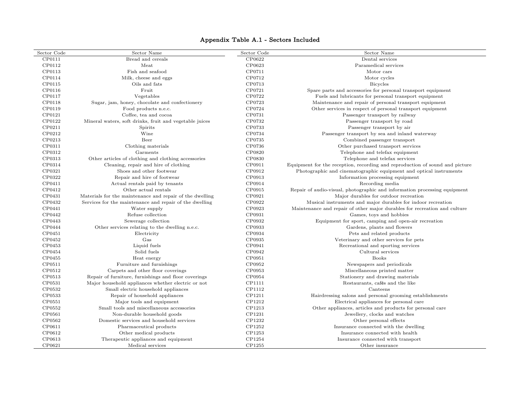### Appendix Table A.1 - Sectors Included

| Sector Code      | Sector Name                                              | Sector Code | Sector Name                                                                  |
|------------------|----------------------------------------------------------|-------------|------------------------------------------------------------------------------|
| CP0111           | Bread and cereals                                        | CP0622      | Dental services                                                              |
| CP0112           | Meat                                                     | CP0623      | Paramedical services                                                         |
| CP0113           | Fish and seafood                                         | CP0711      | Motor cars                                                                   |
| CP0114           | Milk, cheese and eggs                                    | CP0712      | Motor cycles                                                                 |
| CP0115           | Oils and fats                                            | CP0713      | <b>Bicycles</b>                                                              |
| CP0116           | Fruit                                                    | CP0721      | Spare parts and accessories for personal transport equipment                 |
| CP0117           | Vegetables                                               | CP0722      | Fuels and lubricants for personal transport equipment                        |
| CP0118           | Sugar, jam, honey, chocolate and confectionery           | CP0723      | Maintenance and repair of personal transport equipment                       |
| CP0119           | Food products n.e.c.                                     | CP0724      | Other services in respect of personal transport equipment                    |
| CP0121           | Coffee, tea and cocoa                                    | CP0731      | Passenger transport by railway                                               |
| CP0122           | Mineral waters, soft drinks, fruit and vegetable juices  | CP0732      | Passenger transport by road                                                  |
| CP0211           | Spirits                                                  | CP0733      | Passenger transport by air                                                   |
| CP0212           | Wine                                                     | CP0734      | Passenger transport by sea and inland waterway                               |
| CP0213           | Beer                                                     | CP0735      | Combined passenger transport                                                 |
| CP0311           | Clothing materials                                       | CP0736      | Other purchased transport services                                           |
| CP0312           | Garments                                                 | CP0820      | Telephone and telefax equipment                                              |
| CP0313           | Other articles of clothing and clothing accessories      | CP0830      | Telephone and telefax services                                               |
| CP0314           | Cleaning, repair and hire of clothing                    | CP0911      | Equipment for the reception, recording and reproduction of sound and picture |
| CP0321           | Shoes and other footwear                                 | CP0912      | Photographic and cinematographic equipment and optical instruments           |
| CP0322           | Repair and hire of footwear                              | CP0913      | Information processing equipment                                             |
| CP0411           | Actual rentals paid by tenants                           | CP0914      | Recording media                                                              |
| CP0412           | Other actual rentals                                     | CP0915      | Repair of audio-visual, photographic and information processing equipment    |
| CP0431           | Materials for the maintenance and repair of the dwelling | CP0921      | Major durables for outdoor recreation                                        |
| CP0432           | Services for the maintenance and repair of the dwelling  | CP0922      | Musical instruments and major durables for indoor recreation                 |
| CP0441           | Water supply                                             | CP0923      | Maintenance and repair of other major durables for recreation and culture    |
| CP0442           | Refuse collection                                        | CP0931      | Games, toys and hobbies                                                      |
| CP0443           | Sewerage collection                                      | CP0932      | Equipment for sport, camping and open-air recreation                         |
| CP0444           | Other services relating to the dwelling n.e.c.           | CP0933      | Gardens, plants and flowers                                                  |
| CP0451           | Electricity                                              | CP0934      | Pets and related products                                                    |
| CP0452           | Gas                                                      | CP0935      | Veterinary and other services for pets                                       |
| CP0453           | Liquid fuels                                             | CP0941      | Recreational and sporting services                                           |
| CP0454           | Solid fuels                                              | CP0942      | Cultural services                                                            |
|                  | Heat energy                                              | CP0951      | <b>Books</b>                                                                 |
| CP0455<br>CP0511 | Furniture and furnishings                                | CP0952      | Newspapers and periodicals                                                   |
| CP0512           | Carpets and other floor coverings                        | CP0953      | Miscellaneous printed matter                                                 |
|                  |                                                          |             |                                                                              |
| CP0513           | Repair of furniture, furnishings and floor coverings     | CP0954      | Stationery and drawing materials                                             |
| CP0531           | Major household appliances whether electric or not       | CP1111      | Restaurants, cafés and the like                                              |
| CP0532           | Small electric household appliances                      | CP1112      | Canteens                                                                     |
| CP0533           | Repair of household appliances                           | CP1211      | Hairdressing salons and personal grooming establishments                     |
| CP0551           | Major tools and equipment                                | CP1212      | Electrical appliances for personal care                                      |
| CP0552           | Small tools and miscellaneous accessories                | CP1213      | Other appliances, articles and products for personal care                    |
| CP0561           | Non-durable household goods                              | CP1231      | Jewellery, clocks and watches                                                |
| CP0562           | Domestic services and household services                 | CP1232      | Other personal effects                                                       |
| CP0611           | Pharmaceutical products                                  | CP1252      | Insurance connected with the dwelling                                        |
| CP0612           | Other medical products                                   | CP1253      | Insurance connected with health                                              |
| CP0613           | Therapeutic appliances and equipment                     | CP1254      | Insurance connected with transport                                           |
| CP0621           | Medical services                                         | CP1255      | Other insurance                                                              |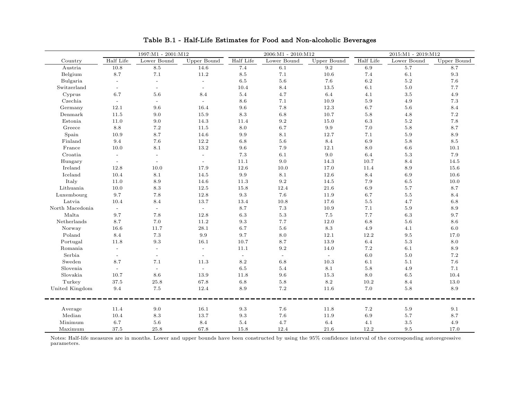| Lower Bound<br>Half Life<br>Lower Bound<br>Half Life<br>Lower Bound<br>Half Life<br><b>Upper Bound</b><br>Upper Bound<br><b>Upper Bound</b><br>Country<br>Austria<br>$8.5\,$<br>5.7<br>10.8<br>14.6<br>7.4<br>6.1<br>9.2<br>6.9<br>8.7<br>8.7<br>8.5<br>7.4<br>$\rm 9.3$<br>Belgium<br>7.1<br>11.2<br>7.1<br>10.6<br>6.1<br>$6.2\,$<br>6.5<br>5.6<br>7.6<br>$5.2\,$<br>7.6<br>Bulgaria<br>$\sim$<br>$\mathbb{L}$<br>$\sim$<br>8.4<br>6.1<br>5.0<br>7.7<br>Switzerland<br>10.4<br>13.5<br>$\sim$<br>$\equiv$<br>$\blacksquare$<br>4.7<br>6.4<br>4.1<br>$3.5\,$<br>4.9<br>Cyprus<br>6.7<br>5.6<br>8.4<br>5.4<br>Czechia<br>8.6<br>7.1<br>10.9<br>$5.9\,$<br>4.9<br>$7.3\,$<br>$\mathbb{L}^{\mathbb{N}}$<br>$\mathbf{r}$<br>12.1<br>$7.8\,$<br>$12.3\,$<br>$5.6\,$<br>Germany<br>9.6<br>16.4<br>9.6<br>6.7<br>8.4<br>$8.3\,$<br>$6.8\,$<br>$7.2\,$<br>Denmark<br>11.5<br>9.0<br>15.9<br>10.7<br>$5.8\,$<br>4.8<br>14.3<br>$\rm 9.2$<br>$6.3\,$<br>$5.2\,$<br>$7.8\,$<br>Estonia<br>11.0<br>9.0<br>15.0<br>11.4<br>$8.8\,$<br>$7.2\,$<br>$8.0\,$<br>$6.7\,$<br>$\rm 9.9$<br>$7.0\,$<br>$5.8\,$<br>8.7<br>11.5<br>Greece |
|---------------------------------------------------------------------------------------------------------------------------------------------------------------------------------------------------------------------------------------------------------------------------------------------------------------------------------------------------------------------------------------------------------------------------------------------------------------------------------------------------------------------------------------------------------------------------------------------------------------------------------------------------------------------------------------------------------------------------------------------------------------------------------------------------------------------------------------------------------------------------------------------------------------------------------------------------------------------------------------------------------------------------------------------------------------------------------------------------------------------|
|                                                                                                                                                                                                                                                                                                                                                                                                                                                                                                                                                                                                                                                                                                                                                                                                                                                                                                                                                                                                                                                                                                                     |
|                                                                                                                                                                                                                                                                                                                                                                                                                                                                                                                                                                                                                                                                                                                                                                                                                                                                                                                                                                                                                                                                                                                     |
|                                                                                                                                                                                                                                                                                                                                                                                                                                                                                                                                                                                                                                                                                                                                                                                                                                                                                                                                                                                                                                                                                                                     |
|                                                                                                                                                                                                                                                                                                                                                                                                                                                                                                                                                                                                                                                                                                                                                                                                                                                                                                                                                                                                                                                                                                                     |
|                                                                                                                                                                                                                                                                                                                                                                                                                                                                                                                                                                                                                                                                                                                                                                                                                                                                                                                                                                                                                                                                                                                     |
|                                                                                                                                                                                                                                                                                                                                                                                                                                                                                                                                                                                                                                                                                                                                                                                                                                                                                                                                                                                                                                                                                                                     |
|                                                                                                                                                                                                                                                                                                                                                                                                                                                                                                                                                                                                                                                                                                                                                                                                                                                                                                                                                                                                                                                                                                                     |
|                                                                                                                                                                                                                                                                                                                                                                                                                                                                                                                                                                                                                                                                                                                                                                                                                                                                                                                                                                                                                                                                                                                     |
|                                                                                                                                                                                                                                                                                                                                                                                                                                                                                                                                                                                                                                                                                                                                                                                                                                                                                                                                                                                                                                                                                                                     |
|                                                                                                                                                                                                                                                                                                                                                                                                                                                                                                                                                                                                                                                                                                                                                                                                                                                                                                                                                                                                                                                                                                                     |
|                                                                                                                                                                                                                                                                                                                                                                                                                                                                                                                                                                                                                                                                                                                                                                                                                                                                                                                                                                                                                                                                                                                     |
| 8.7<br>14.6<br>7.1<br>$5.9\,$<br>8.9<br>Spain<br>10.9<br>9.9<br>8.1<br>12.7                                                                                                                                                                                                                                                                                                                                                                                                                                                                                                                                                                                                                                                                                                                                                                                                                                                                                                                                                                                                                                         |
| 12.2<br>8.4<br>Finland<br>9.4<br>7.6<br>6.8<br>5.6<br>6.9<br>5.8<br>8.5                                                                                                                                                                                                                                                                                                                                                                                                                                                                                                                                                                                                                                                                                                                                                                                                                                                                                                                                                                                                                                             |
| 13.2<br>10.0<br>8.1<br>9.6<br>7.9<br>12.1<br>8.0<br>6.6<br>10.1<br>France                                                                                                                                                                                                                                                                                                                                                                                                                                                                                                                                                                                                                                                                                                                                                                                                                                                                                                                                                                                                                                           |
| 7.3<br>7.9<br>Croatia<br>6.1<br>9.0<br>6.4<br>5.3<br>$\sim$<br>$\sim$<br>$\overline{\phantom{a}}$                                                                                                                                                                                                                                                                                                                                                                                                                                                                                                                                                                                                                                                                                                                                                                                                                                                                                                                                                                                                                   |
| 11.1<br>9.0<br>14.3<br>10.7<br>8.4<br>14.5<br>Hungary<br>$\overline{a}$<br>$\sim$<br>$\equiv$                                                                                                                                                                                                                                                                                                                                                                                                                                                                                                                                                                                                                                                                                                                                                                                                                                                                                                                                                                                                                       |
| 12.8<br>10.0<br>17.9<br>12.6<br>10.0<br>17.0<br>11.4<br>8.9<br>15.6<br>Ireland                                                                                                                                                                                                                                                                                                                                                                                                                                                                                                                                                                                                                                                                                                                                                                                                                                                                                                                                                                                                                                      |
| 8.4<br>Iceland<br>10.4<br>8.1<br>14.5<br>9.9<br>8.1<br>12.6<br>6.9<br>10.6                                                                                                                                                                                                                                                                                                                                                                                                                                                                                                                                                                                                                                                                                                                                                                                                                                                                                                                                                                                                                                          |
| Italy<br>11.0<br>8.9<br>14.6<br>9.2<br>14.5<br>7.9<br>6.5<br>10.0<br>11.3                                                                                                                                                                                                                                                                                                                                                                                                                                                                                                                                                                                                                                                                                                                                                                                                                                                                                                                                                                                                                                           |
| 8.3<br>12.5<br>12.4<br>21.6<br>6.9<br>5.7<br>8.7<br>Lithuania<br>10.0<br>15.8                                                                                                                                                                                                                                                                                                                                                                                                                                                                                                                                                                                                                                                                                                                                                                                                                                                                                                                                                                                                                                       |
| Luxembourg<br>9.7<br>7.8<br>12.8<br>9.3<br>7.6<br>11.9<br>6.7<br>$5.5\,$<br>8.4                                                                                                                                                                                                                                                                                                                                                                                                                                                                                                                                                                                                                                                                                                                                                                                                                                                                                                                                                                                                                                     |
| 13.7<br>10.8<br>17.6<br>$5.5\,$<br>4.7<br>$6.8\,$<br>Latvia<br>10.4<br>8.4<br>13.4                                                                                                                                                                                                                                                                                                                                                                                                                                                                                                                                                                                                                                                                                                                                                                                                                                                                                                                                                                                                                                  |
| North Macedonia<br>8.7<br>7.3<br>$5.9\,$<br>8.9<br>10.9<br>7.1<br>$\sim$<br>$\sim$<br>$\omega$                                                                                                                                                                                                                                                                                                                                                                                                                                                                                                                                                                                                                                                                                                                                                                                                                                                                                                                                                                                                                      |
| Malta<br>9.7<br>7.8<br>12.8<br>6.3<br>$5.3\,$<br>$7.5\,$<br>7.7<br>$6.3\,$<br>9.7                                                                                                                                                                                                                                                                                                                                                                                                                                                                                                                                                                                                                                                                                                                                                                                                                                                                                                                                                                                                                                   |
| 8.7<br>$7.0\,$<br>11.2<br>$12.0\,$<br>$6.8\,$<br>$5.6\,$<br>$8.6\,$<br>Netherlands<br>9.3<br>7.7                                                                                                                                                                                                                                                                                                                                                                                                                                                                                                                                                                                                                                                                                                                                                                                                                                                                                                                                                                                                                    |
| $28.1\,$<br>$6.7\,$<br>$5.6\,$<br>$\!\!\!\!\!8.3$<br>$4.9\,$<br>$6.0\,$<br>Norway<br>16.6<br>11.7<br>4.1                                                                                                                                                                                                                                                                                                                                                                                                                                                                                                                                                                                                                                                                                                                                                                                                                                                                                                                                                                                                            |
| $7.3\,$<br>$9.9\,$<br>9.7<br>12.2<br>Poland<br>8.4<br>$8.0\,$<br>12.1<br>9.5<br>17.0                                                                                                                                                                                                                                                                                                                                                                                                                                                                                                                                                                                                                                                                                                                                                                                                                                                                                                                                                                                                                                |
| $\rm 9.3$<br>$13.9\,$<br>$6.4\,$<br>$5.3\,$<br>$8.0\,$<br>Portugal<br>11.8<br>16.1<br>10.7<br>8.7                                                                                                                                                                                                                                                                                                                                                                                                                                                                                                                                                                                                                                                                                                                                                                                                                                                                                                                                                                                                                   |
| 9.2<br>7.2<br>8.9<br>11.1<br>14.0<br>6.1<br>Romania<br>$\overline{a}$<br>$\mathbb{L}$                                                                                                                                                                                                                                                                                                                                                                                                                                                                                                                                                                                                                                                                                                                                                                                                                                                                                                                                                                                                                               |
| $5.0\,$<br>7.2<br>Serbia<br>$\omega$<br>6.0<br>$\equiv$<br>$\equiv$<br>$\overline{\phantom{a}}$<br>$\overline{\phantom{a}}$<br>$\overline{\phantom{a}}$                                                                                                                                                                                                                                                                                                                                                                                                                                                                                                                                                                                                                                                                                                                                                                                                                                                                                                                                                             |
| 8.7<br>7.6<br>Sweden<br>7.1<br>11.3<br>8.2<br>6.8<br>10.3<br>6.1<br>5.1                                                                                                                                                                                                                                                                                                                                                                                                                                                                                                                                                                                                                                                                                                                                                                                                                                                                                                                                                                                                                                             |
| 5.8<br>7.1<br>Slovenia<br>6.5<br>5.4<br>8.1<br>4.9<br>$\sim$<br>$\sim$<br>$\sim$                                                                                                                                                                                                                                                                                                                                                                                                                                                                                                                                                                                                                                                                                                                                                                                                                                                                                                                                                                                                                                    |
| Slovakia<br>10.7<br>8.6<br>13.9<br>11.8<br>9.6<br>15.3<br>8.0<br>6.5<br>10.4                                                                                                                                                                                                                                                                                                                                                                                                                                                                                                                                                                                                                                                                                                                                                                                                                                                                                                                                                                                                                                        |
| 37.5<br>8.2<br>Turkey<br>67.8<br>6.8<br>5.8<br>10.2<br>8.4<br>13.0<br>25.8                                                                                                                                                                                                                                                                                                                                                                                                                                                                                                                                                                                                                                                                                                                                                                                                                                                                                                                                                                                                                                          |
| 9.4<br>7.0<br>United Kingdom<br>7.5<br>8.9<br>7.2<br>5.8<br>8.9<br>12.4<br>11.6                                                                                                                                                                                                                                                                                                                                                                                                                                                                                                                                                                                                                                                                                                                                                                                                                                                                                                                                                                                                                                     |
| 9.0<br>16.1<br>9.3<br>$7.2\,$<br>Average<br>11.4<br>7.6<br>11.8<br>5.9<br>9.1                                                                                                                                                                                                                                                                                                                                                                                                                                                                                                                                                                                                                                                                                                                                                                                                                                                                                                                                                                                                                                       |
| Median<br>8.3<br>13.7<br>9.3<br>7.6<br>6.9<br>8.7<br>10.4<br>11.9<br>5.7                                                                                                                                                                                                                                                                                                                                                                                                                                                                                                                                                                                                                                                                                                                                                                                                                                                                                                                                                                                                                                            |
| 5.4<br>$6.4\,$<br>Minimum<br>6.7<br>5.6<br>8.4<br>4.7<br>4.1<br>$3.5\,$<br>4.9                                                                                                                                                                                                                                                                                                                                                                                                                                                                                                                                                                                                                                                                                                                                                                                                                                                                                                                                                                                                                                      |
| 37.5<br>21.6<br>12.2<br>Maximum<br>25.8<br>67.8<br>15.8<br>12.4<br>9.5<br>17.0                                                                                                                                                                                                                                                                                                                                                                                                                                                                                                                                                                                                                                                                                                                                                                                                                                                                                                                                                                                                                                      |

### Table B.1 - Half-Life Estimates for Food and Non-alcoholic Beverages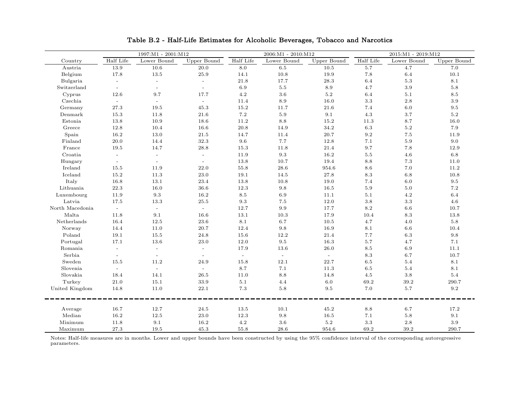|                 |                           | 1997:M1 - 2001:M12 |                          |           | 2006:M1 - 2010:M12 |             |           | 2015:M1 - 2019:M12 |             |
|-----------------|---------------------------|--------------------|--------------------------|-----------|--------------------|-------------|-----------|--------------------|-------------|
| Country         | Half Life                 | Lower Bound        | Upper Bound              | Half Life | Lower Bound        | Upper Bound | Half Life | Lower Bound        | Upper Bound |
| Austria         | 13.9                      | 10.6               | 20.0                     | 8.0       | 6.5                | 10.5        | 5.7       | 4.7                | 7.0         |
| Belgium         | 17.8                      | 13.5               | $25.9\,$                 | 14.1      | 10.8               | 19.9        | 7.8       | 6.4                | 10.1        |
| Bulgaria        | $\mathbb{L}^+$            | $\omega$           | $\equiv$                 | 21.8      | 17.7               | 28.3        | 6.4       | $5.3\,$            | 8.1         |
| Switzerland     | $\sim$                    | $\sim$             | $\sim$                   | 6.9       | $5.5\,$            | $8.9\,$     | $4.7\,$   | $3.9\,$            | $5.8\,$     |
| Cyprus          | 12.6                      | 9.7                | 17.7                     | $4.2\,$   | $3.6\,$            | $5.2\,$     | 6.4       | 5.1                | $8.5\,$     |
| Czechia         | $\sim$                    | $\sim$             | $\sim$                   | 11.4      | 8.9                | 16.0        | 3.3       | 2.8                | 3.9         |
| Germany         | 27.3                      | 19.5               | 45.3                     | 15.2      | 11.7               | 21.6        | 7.4       | 6.0                | $\,9.5$     |
| Denmark         | 15.3                      | 11.8               | 21.6                     | $7.2\,$   | 5.9                | 9.1         | 4.3       | 3.7                | 5.2         |
| Estonia         | 13.8                      | 10.9               | 18.6                     | 11.2      | 8.8                | 15.2        | 11.3      | 8.7                | 16.0        |
| Greece          | 12.8                      | 10.4               | 16.6                     | 20.8      | 14.9               | $34.2\,$    | 6.3       | $5.2\,$            | 7.9         |
| Spain           | 16.2                      | 13.0               | $21.5\,$                 | 14.7      | 11.4               | 20.7        | $\rm 9.2$ | $7.5\,$            | 11.9        |
| Finland         | $20.0\,$                  | 14.4               | 32.3                     | 9.6       | 7.7                | 12.8        | 7.1       | $5.9\,$            | 9.0         |
| France          | 19.5                      | 14.7               | 28.8                     | 15.3      | 11.8               | 21.4        | 9.7       | 7.8                | 12.9        |
| Croatia         | $\mathbb{L}^{\mathbb{N}}$ | $\sim$             | $\equiv$                 | 11.9      | 9.3                | 16.2        | $5.5\,$   | 4.6                | 6.8         |
| Hungary         | $\sim$                    | $\omega$           | $\sim$                   | 13.8      | 10.7               | 19.4        | 8.8       | $7.3\,$            | 11.0        |
| Ireland         | 15.5                      | 11.9               | 22.0                     | 55.8      | 28.6               | 954.6       | 8.6       | 7.0                | 11.2        |
| Iceland         | 15.2                      | 11.3               | 23.0                     | 19.1      | 14.5               | 27.8        | 8.3       | $6.8\,$            | 10.8        |
| Italy           | 16.8                      | 13.1               | 23.4                     | 13.8      | 10.8               | 19.0        | 7.4       | $6.0\,$            | $9.5\,$     |
| Lithuania       | 22.3                      | 16.0               | $36.6\,$                 | 12.3      | 9.8                | 16.5        | $5.9\,$   | $5.0\,$            | $7.2\,$     |
| Luxembourg      | 11.9                      | 9.3                | 16.2                     | 8.5       | 6.9                | 11.1        | 5.1       | 4.2                | $6.4\,$     |
| Latvia          | 17.5                      | 13.3               | 25.5                     | 9.3       | $7.5\,$            | 12.0        | 3.8       | 3.3                | 4.6         |
| North Macedonia | $\sim$                    | $\sim$             | $\sim$                   | 12.7      | 9.9                | 17.7        | 8.2       | 6.6                | 10.7        |
| Malta           | 11.8                      | 9.1                | 16.6                     | 13.1      | 10.3               | 17.9        | 10.4      | 8.3                | 13.8        |
| Netherlands     | 16.4                      | 12.5               | 23.6                     | 8.1       | 6.7                | 10.5        | 4.7       | 4.0                | 5.8         |
| Norway          | 14.4                      | 11.0               | 20.7                     | 12.4      | 9.8                | 16.9        | 8.1       | 6.6                | 10.4        |
| Poland          | 19.1                      | 15.5               | 24.8                     | 15.6      | 12.2               | 21.4        | 7.7       | $6.3\,$            | $\,9.8$     |
| Portugal        | 17.1                      | 13.6               | 23.0                     | 12.0      | $\,9.5$            | 16.3        | $5.7\,$   | 4.7                | $7.1\,$     |
| Romania         | $\equiv$                  | $\equiv$           | $\blacksquare$           | 17.9      | 13.6               | 26.0        | 8.5       | 6.9                | 11.1        |
| Serbia          | $\omega$                  | $\sim$             | $\overline{\phantom{a}}$ | $\sim$    | $\omega$           | $\omega$    | 8.3       | 6.7                | 10.7        |
| Sweden          | 15.5                      | 11.2               | 24.9                     | 15.8      | 12.1               | 22.7        | 6.5       | 5.4                | 8.1         |
| Slovenia        | $\sim$                    | $\sim$             | $\sim$                   | 8.7       | 7.1                | 11.3        | $6.5\,$   | $5.4\,$            | 8.1         |
| Slovakia        | 18.4                      | 14.1               | 26.5                     | 11.0      | 8.8                | 14.8        | 4.5       | $3.8\,$            | 5.4         |
| Turkey          | 21.0                      | 15.1               | 33.9                     | 5.1       | 4.4                | 6.0         | 69.2      | 39.2               | 290.7       |
| United Kingdom  | 14.8                      | 11.0               | 22.1                     | 7.3       | $5.8\,$            | 9.5         | 7.0       | $5.7\,$            | $\ \, 9.2$  |
|                 |                           |                    |                          |           |                    |             |           |                    |             |
| Average         | 16.7                      | 12.7               | 24.5                     | 13.5      | 10.1               | 45.2        | 8.8       | 6.7                | 17.2        |
| Median          | 16.2                      | 12.5               | 23.0                     | 12.3      | 9.8                | 16.5        | 7.1       | 5.8                | 9.1         |
| Minimum         | 11.8                      | 9.1                | 16.2                     | 4.2       | 3.6                | $5.2\,$     | $3.3\,$   | 2.8                | 3.9         |
| Maximum         | 27.3                      | 19.5               | 45.3                     | 55.8      | 28.6               | 954.6       | 69.2      | 39.2               | 290.7       |

Table B.2 - Half-Life Estimates for Alcoholic Beverages, Tobacco and Narcotics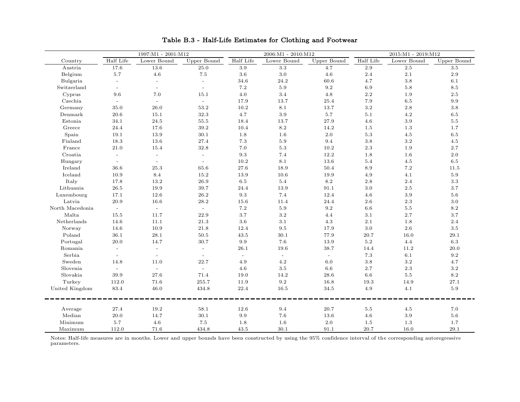|                 |                     | 1997:M1 - 2001:M12 |              |                | 2006:M1 - 2010:M12 |             |                 | 2015:M1 - 2019:M12 |             |
|-----------------|---------------------|--------------------|--------------|----------------|--------------------|-------------|-----------------|--------------------|-------------|
| Country         | Half Life           | Lower Bound        | Upper Bound  | Half Life      | Lower Bound        | Upper Bound | Half Life       | Lower Bound        | Upper Bound |
| Austria         | 17.6                | 13.6               | 25.0         | 3.9            | 3.3                | 4.7         | 2.9             | 2.5                | 3.5         |
| Belgium         | 5.7                 | 4.6                | $7.5\,$      | 3.6            | $3.0\,$            | $4.6\,$     | 2.4             | 2.1                | 2.9         |
| Bulgaria        | $\bar{\phantom{a}}$ | $\sim$             | $\mathbb{L}$ | 34.6           | 24.2               | 60.6        | 4.7             | $3.8\,$            | 6.1         |
| Switzerland     | $\blacksquare$      | $\blacksquare$     | $\sim$       | 7.2            | 5.9                | 9.2         | 6.9             | 5.8                | 8.5         |
| Cyprus          | 9.6                 | 7.0                | 15.1         | 4.0            | $3.4\,$            | 4.8         | $2.2\,$         | 1.9                | $2.5\,$     |
| Czechia         |                     | $\omega$           | $\omega$     | 17.9           | 13.7               | 25.4        | 7.9             | $6.5\,$            | $\rm 9.9$   |
| Germany         | 35.0                | 26.0               | 53.2         | 10.2           | 8.1                | 13.7        | $3.2\,$         | 2.8                | 3.8         |
| Denmark         | 20.6                | 15.1               | 32.3         | 4.7            | 3.9                | 5.7         | 5.1             | 4.2                | $6.5\,$     |
| Estonia         | 34.1                | 24.5               | 55.5         | 18.4           | 13.7               | 27.9        | 4.6             | $3.9\,$            | $5.5\,$     |
| Greece          | 24.4                | 17.6               | 39.2         | 10.4           | $8.2\,$            | 14.2        | $1.5\,$         | 1.3                | 1.7         |
| Spain           | 19.1                | 13.9               | 30.1         | 1.8            | 1.6                | 2.0         | $5.3\,$         | 4.5                | $6.5\,$     |
| Finland         | 18.3                | 13.6               | 27.4         | 7.3            | 5.9                | 9.4         | $3.8\,$         | 3.2                | 4.5         |
| France          | 21.0                | 15.4               | 32.8         | 7.0            | 5.3                | 10.2        | $2.3\,$         | 1.9                | 2.7         |
| Croatia         |                     | $\overline{a}$     | $\bar{a}$    | 9.3            | 7.4                | 12.2        | $1.8\,$         | 1.6                | 2.0         |
| Hungary         | $\equiv$            | $\sim$             | $\mathbb{L}$ | 10.2           | 8.1                | 13.6        | 5.4             | 4.5                | 6.5         |
| Ireland         | 36.6                | 25.3               | 65.6         | $27.6\,$       | 18.9               | 50.4        | $\!\!\!\!\!8.9$ | $7.2\,$            | 11.5        |
| Iceland         | 10.9                | $8.4\,$            | 15.2         | 13.9           | 10.6               | 19.9        | 4.9             | 4.1                | $5.9\,$     |
| Italy           | 17.8                | 13.2               | $26.9\,$     | $6.5\,$        | $5.4\,$            | $8.2\,$     | $2.8\,$         | $2.4\,$            | $3.3\,$     |
| Lithuania       | $26.5\,$            | 19.9               | 39.7         | 24.4           | 13.9               | 91.1        | $3.0\,$         | $2.5\,$            | $3.7\,$     |
| Luxembourg      | 17.1                | 12.6               | 26.2         | 9.3            | 7.4                | 12.4        | 4.6             | 3.9                | 5.6         |
| Latvia          | 20.9                | 16.6               | 28.2         | 15.6           | 11.4               | 24.4        | $2.6\,$         | 2.3                | $3.0\,$     |
| North Macedonia | $\sim$              | $\sim$             | $\sim$       | 7.2            | 5.9                | $9.2\,$     | $6.6\,$         | $5.5\,$            | 8.2         |
| Malta           | 15.5                | 11.7               | 22.9         | 3.7            | $3.2\,$            | 4.4         | $3.1\,$         | 2.7                | $3.7\,$     |
| Netherlands     | 14.6                | 11.1               | 21.3         | 3.6            | 3.1                | 4.3         | $2.1\,$         | 1.8                | 2.4         |
| Norway          | 14.6                | 10.9               | 21.8         | 12.4           | 9.5                | 17.9        | $3.0\,$         | 2.6                | 3.5         |
| Poland          | 36.1                | 28.1               | 50.5         | 43.5           | 30.1               | 77.9        | 20.7            | 16.0               | 29.1        |
| Portugal        | 20.0                | 14.7               | 30.7         | 9.9            | 7.6                | 13.9        | $5.2\,$         | 4.4                | $6.3\,$     |
| Romania         | $\sim$              | $\mathbb{L}$       | $\mathbb{L}$ | 26.1           | 19.6               | 38.7        | 14.4            | 11.2               | $20.0\,$    |
| Serbia          | $\equiv$            | $\equiv$           | $\equiv$     | $\blacksquare$ | $\equiv$           | $\omega$    | $7.3\,$         | 6.1                | 9.2         |
| Sweden          | 14.8                | 11.0               | 22.7         | 4.9            | 4.2                | 6.0         | $3.8\,$         | $3.2\,$            | 4.7         |
| Slovenia        | $\sim$              | $\sim$             | $\equiv$     | 4.6            | 3.5                | 6.6         | 2.7             | $2.3\,$            | 3.2         |
| Slovakia        | 39.9                | 27.6               | 71.4         | 19.0           | 14.2               | 28.6        | 6.6             | $5.5\,$            | 8.2         |
| Turkey          | 112.0               | 71.6               | 255.7        | 11.9           | 9.2                | 16.8        | 19.3            | 14.9               | 27.1        |
| United Kingdom  | 83.4                | 46.0               | 434.8        | 22.4           | 16.5               | 34.5        | 4.9             | 4.1                | 5.9         |
| Average         | 27.4                | 19.2               | 58.1         | 12.6           | 9.4                | 20.7        | 5.5             | 4.5                | 7.0         |
| Median          | 20.0                | 14.7               | 30.1         | 9.9            | 7.6                | 13.6        | 4.6             | 3.9                | 5.6         |
| Minimum         | 5.7                 | 4.6                | 7.5          | 1.8            | 1.6                | $2.0\,$     | 1.5             | 1.3                | 1.7         |
| Maximum         | 112.0               | 71.6               | 434.8        | 43.5           | 30.1               | 91.1        | 20.7            | 16.0               | 29.1        |

# Table B.3 - Half-Life Estimates for Clothing and Footwear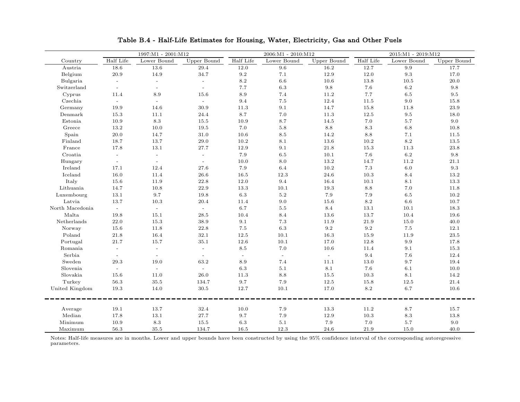|                 |                | 1997:M1 - 2001:M12       |              |           | 2006:M1 - 2010:M12 |             |           | 2015:M1 - 2019:M12 |             |
|-----------------|----------------|--------------------------|--------------|-----------|--------------------|-------------|-----------|--------------------|-------------|
| Country         | Half Life      | Lower Bound              | Upper Bound  | Half Life | Lower Bound        | Upper Bound | Half Life | Lower Bound        | Upper Bound |
| Austria         | 18.6           | 13.6                     | 29.4         | 12.0      | 9.6                | 16.2        | 12.7      | 9.9                | 17.7        |
| Belgium         | 20.9           | 14.9                     | 34.7         | 9.2       | 7.1                | 12.9        | 12.0      | $\rm 9.3$          | 17.0        |
| Bulgaria        | $\mathbb{L}^+$ | $\omega$                 | $\equiv$     | 8.2       | 6.6                | 10.6        | 13.8      | 10.5               | 20.0        |
| Switzerland     | $\equiv$       | $\overline{\phantom{a}}$ | $\sim$       | 7.7       | $6.3\,$            | $9.8\,$     | 7.6       | $6.2\,$            | $\,9.8$     |
| Cyprus          | 11.4           | 8.9                      | 15.6         | 8.9       | 7.4                | 11.2        | 7.7       | $6.5\,$            | $\ \, 9.5$  |
| Czechia         | $\sim$         | $\sim$                   | $\sim$       | 9.4       | $7.5\,$            | 12.4        | 11.5      | 9.0                | 15.8        |
| Germany         | 19.9           | 14.6                     | 30.9         | 11.3      | 9.1                | 14.7        | 15.8      | 11.8               | 23.9        |
| Denmark         | 15.3           | 11.1                     | 24.4         | 8.7       | 7.0                | 11.3        | 12.5      | $9.5\,$            | 18.0        |
| Estonia         | 10.9           | $8.3\,$                  | 15.5         | 10.9      | 8.7                | 14.5        | 7.0       | $5.7\,$            | 9.0         |
| Greece          | 13.2           | 10.0                     | 19.5         | 7.0       | $5.8\,$            | $8.8\,$     | 8.3       | $6.8\,$            | 10.8        |
| Spain           | $20.0\,$       | 14.7                     | $31.0\,$     | 10.6      | $\!\!\!\!\!8.5$    | 14.2        | $8.8\,$   | $7.1\,$            | 11.5        |
| Finland         | 18.7           | 13.7                     | 29.0         | 10.2      | 8.1                | 13.6        | 10.2      | $8.2\,$            | 13.5        |
| France          | 17.8           | 13.1                     | 27.7         | 12.9      | 9.1                | 21.8        | 15.3      | 11.3               | 23.8        |
| Croatia         | $\sim$         | $\omega$                 | $\equiv$     | 7.9       | 6.5                | 10.1        | 7.6       | 6.2                | 9.8         |
| Hungary         | $\sim$         | $\sim$                   | $\mathbb{L}$ | 10.0      | 8.0                | 13.2        | 14.7      | 11.2               | 21.1        |
| Ireland         | 17.1           | 12.4                     | 27.6         | 7.9       | 6.4                | 10.2        | 7.3       | 6.0                | 9.3         |
| Iceland         | 16.0           | 11.4                     | 26.6         | 16.5      | 12.3               | 24.6        | 10.3      | 8.4                | 13.2        |
| Italy           | 15.6           | 11.9                     | 22.8         | 12.0      | 9.4                | 16.4        | 10.1      | 8.1                | 13.3        |
| Lithuania       | 14.7           | 10.8                     | 22.9         | 13.3      | 10.1               | 19.3        | 8.8       | $7.0\,$            | 11.8        |
| Luxembourg      | 13.1           | 9.7                      | 19.8         | 6.3       | 5.2                | 7.9         | 7.9       | 6.5                | 10.2        |
| Latvia          | 13.7           | 10.3                     | 20.4         | 11.4      | 9.0                | 15.6        | 8.2       | 6.6                | 10.7        |
| North Macedonia | $\sim$         | $\sim$                   | $\sim$       | 6.7       | $5.5\,$            | 8.4         | 13.1      | 10.1               | 18.3        |
| Malta           | 19.8           | 15.1                     | 28.5         | 10.4      | 8.4                | 13.6        | 13.7      | 10.4               | 19.6        |
| Netherlands     | 22.0           | 15.3                     | 38.9         | 9.1       | 7.3                | 11.9        | 21.9      | 15.0               | 40.0        |
| Norway          | 15.6           | 11.8                     | 22.8         | 7.5       | 6.3                | 9.2         | 9.2       | 7.5                | 12.1        |
| Poland          | $21.8\,$       | 16.4                     | 32.1         | 12.5      | 10.1               | 16.3        | 15.9      | 11.9               | $23.5\,$    |
| Portugal        | 21.7           | 15.7                     | 35.1         | 12.6      | 10.1               | 17.0        | 12.8      | 9.9                | 17.8        |
| Romania         | $\equiv$       | $\equiv$                 | $\equiv$     | 8.5       | 7.0                | 10.6        | 11.4      | 9.1                | 15.3        |
| Serbia          | $\sim$         | $\sim$                   | $\equiv$     | $\sim$    | $\omega$           | $\sim$      | 9.4       | 7.6                | 12.4        |
| Sweden          | 29.3           | 19.0                     | 63.2         | 8.9       | 7.4                | 11.1        | 13.0      | 9.7                | 19.4        |
| Slovenia        | $\sim$         | $\sim$                   | $\sim$       | 6.3       | 5.1                | 8.1         | 7.6       | 6.1                | 10.0        |
| Slovakia        | 15.6           | 11.0                     | 26.0         | 11.3      | 8.8                | 15.5        | 10.3      | 8.1                | 14.2        |
| Turkey          | 56.3           | $35.5\,$                 | 134.7        | 9.7       | 7.9                | 12.5        | 15.8      | 12.5               | 21.4        |
| United Kingdom  | 19.3           | 14.0                     | $30.5\,$     | 12.7      | 10.1               | 17.0        | 8.2       | $6.7\,$            | 10.6        |
|                 |                |                          |              |           |                    |             |           |                    |             |
| Average         | 19.1           | 13.7                     | 32.4         | 10.0      | 7.9                | 13.3        | 11.2      | 8.7                | 15.7        |
| Median          | 17.8           | 13.1                     | 27.7         | 9.7       | 7.9                | 12.9        | 10.3      | 8.3                | 13.8        |
| Minimum         | 10.9           | 8.3                      | 15.5         | $6.3\,$   | 5.1                | 7.9         | 7.0       | 5.7                | 9.0         |
| Maximum         | 56.3           | 35.5                     | 134.7        | 16.5      | 12.3               | 24.6        | 21.9      | 15.0               | 40.0        |

Table B.4 - Half-Life Estimates for Housing, Water, Electricity, Gas and Other Fuels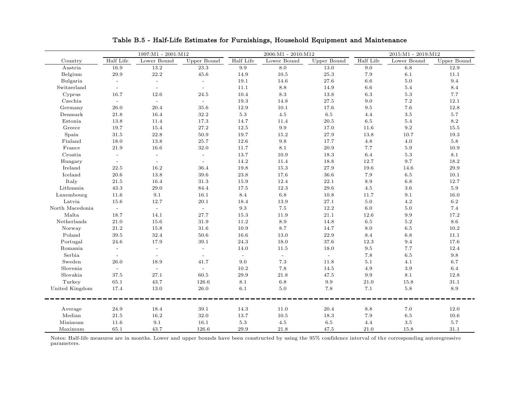|                           |                           | 1997:M1 - 2001:M12 |                |                | 2006:M1 - 2010:M12 |             |           | 2015:M1 - 2019:M12 |             |
|---------------------------|---------------------------|--------------------|----------------|----------------|--------------------|-------------|-----------|--------------------|-------------|
| Country                   | Half Life                 | Lower Bound        | Upper Bound    | Half Life      | Lower Bound        | Upper Bound | Half Life | Lower Bound        | Upper Bound |
| Austria                   | 16.9                      | 13.2               | 23.3           | 9.9            | 8.0                | 13.0        | 9.0       | 6.8                | 12.9        |
| Belgium                   | 29.9                      | 22.2               | 45.6           | 14.9           | 10.5               | 25.3        | 7.9       | 6.1                | 11.1        |
| Bulgaria                  | $\sim$                    | $\omega$           | $\sim$         | 19.1           | 14.6               | $27.6\,$    | $6.6\,$   | $5.0\,$            | $9.4\,$     |
| Switzerland               | $\mathbf{r}$              | $\sim$             | $\sim$         | 11.1           | 8.8                | 14.9        | $6.6\,$   | $5.4\,$            | $8.4\,$     |
| Cyprus                    | 16.7                      | 12.6               | 24.5           | 10.4           | 8.3                | 13.8        | 6.3       | $5.3\,$            | 7.7         |
| Czechia                   | $\sim$                    | $\sim$             | $\sim$         | 19.3           | 14.8               | 27.5        | 9.0       | 7.2                | 12.1        |
| Germany                   | 26.0                      | 20.4               | 35.6           | 12.9           | 10.1               | 17.6        | 9.5       | $7.6\,$            | 12.8        |
| Denmark                   | 21.8                      | 16.4               | 32.2           | $5.3\,$        | 4.5                | 6.5         | 4.4       | $3.5\,$            | 5.7         |
| Estonia                   | 13.8                      | 11.4               | 17.3           | 14.7           | 11.4               | $20.5\,$    | $6.5\,$   | $5.4\,$            | $8.2\,$     |
| Greece                    | 19.7                      | 15.4               | 27.2           | 12.5           | $\rm 9.9$          | 17.0        | 11.6      | $\ \, 9.2$         | 15.5        |
| Spain                     | 31.5                      | 22.8               | 50.9           | 19.7           | 15.2               | 27.9        | 13.8      | 10.7               | 19.3        |
| Finland                   | 18.0                      | 13.8               | 25.7           | 12.6           | 9.8                | 17.7        | 4.8       | 4.0                | 5.8         |
| France                    | 21.9                      | 16.6               | 32.0           | 11.7           | 8.1                | 20.9        | 7.7       | 5.9                | 10.9        |
| Croatia                   | $\sim$                    | $\sim$             |                | 13.7           | 10.9               | 18.3        | 6.4       | $5.3\,$            | 8.1         |
| Hungary                   | $\sim$                    | $\sim$             | $\sim$         | 14.2           | 11.4               | 18.8        | 12.7      | 9.7                | 18.2        |
| Ireland                   | 22.5                      | 16.2               | 36.4           | 19.8           | 15.3               | $27.9\,$    | 19.6      | 14.6               | $29.9\,$    |
| Iceland                   | 20.6                      | 13.8               | 39.6           | 23.8           | 17.6               | 36.6        | 7.9       | $6.5\,$            | 10.1        |
| Italy                     | 21.5                      | 16.4               | 31.3           | 15.9           | 12.4               | 22.1        | 8.9       | 6.8                | 12.7        |
| Lithuania                 | 43.3                      | 29.0               | 84.4           | 17.5           | 12.3               | 29.6        | 4.5       | 3.6                | $5.9\,$     |
| Luxembourg                | 11.6                      | 9.1                | 16.1           | 8.4            | $6.8\,$            | 10.8        | 11.7      | 9.1                | 16.0        |
| Latvia                    | 15.6                      | 12.7               | 20.1           | 18.4           | 13.9               | 27.1        | $5.0\,$   | 4.2                | 6.2         |
| North Macedonia           | $\sim$                    | $\sim$             | $\sim$         | $9.3\,$        | $7.5\,$            | 12.2        | $6.0\,$   | $5.0\,$            | $7.4\,$     |
| Malta                     | 18.7                      | 14.1               | $27.7\,$       | 15.3           | 11.9               | $21.1\,$    | 12.6      | 9.9                | 17.2        |
| Netherlands               | 21.0                      | 15.6               | 31.9           | 11.2           | 8.9                | 14.8        | $6.5\,$   | $5.2\,$            | $8.6\,$     |
| Norway                    | 21.2                      | 15.8               | 31.6           | 10.9           | 8.7                | 14.7        | 8.0       | 6.5                | 10.2        |
| Poland                    | 39.5                      | 32.4               | 50.6           | 16.6           | 13.0               | 22.9        | 8.4       | 6.8                | 11.1        |
| Portugal                  | 24.6                      | 17.9               | 39.1           | 24.3           | 18.0               | 37.6        | 12.3      | 9.4                | 17.6        |
| Romania                   | $\mathbb{L}^{\mathbb{N}}$ | $\mathbb{L}^2$     | $\mathbb{L}^2$ | 14.0           | 11.5               | 18.0        | $9.5\,$   | 7.7                | 12.4        |
| Serbia                    | $\equiv$                  | $\sim$             | $\blacksquare$ | $\blacksquare$ | $\mathbb{L}$       | $\omega$    | $7.8\,$   | $6.5\,$            | $\,9.8$     |
| Sweden                    | 26.0                      | 18.9               | 41.7           | 9.0            | $7.3\,$            | 11.8        | 5.1       | 4.1                | 6.7         |
| Slovenia                  | $\sim$                    | $\sim$             | $\sim$         | 10.2           | 7.8                | 14.5        | 4.9       | 3.9                | $6.4\,$     |
| $\operatorname{Slovakia}$ | 37.5                      | 27.1               | 60.5           | 29.9           | 21.8               | 47.5        | 9.9       | 8.1                | 12.8        |
| Turkey                    | 65.1                      | 43.7               | 126.6          | 8.1            | 6.8                | 9.9         | 21.0      | 15.8               | 31.1        |
| United Kingdom            | 17.4                      | 13.0               | 26.0           | 6.1            | 5.0                | 7.8         | 7.1       | $5.8\,$            | 8.9         |
|                           |                           |                    |                |                |                    |             |           |                    |             |
| Average                   | 24.9                      | 18.4               | 39.1           | 14.3           | 11.0               | 20.4        | 8.8       | 7.0                | 12.0        |
| Median                    | $21.5\,$                  | 16.2               | 32.0           | 13.7           | 10.5               | 18.3        | 7.9       | 6.5                | 10.6        |
| Minimum                   | 11.6                      | 9.1                | 16.1           | $5.3\,$        | 4.5                | 6.5         | 4.4       | 3.5                | 5.7         |
| Maximum                   | 65.1                      | 43.7               | 126.6          | 29.9           | 21.8               | 47.5        | 21.0      | 15.8               | 31.1        |

### Table B.5 - Half-Life Estimates for Furnishings, Household Equipment and Maintenance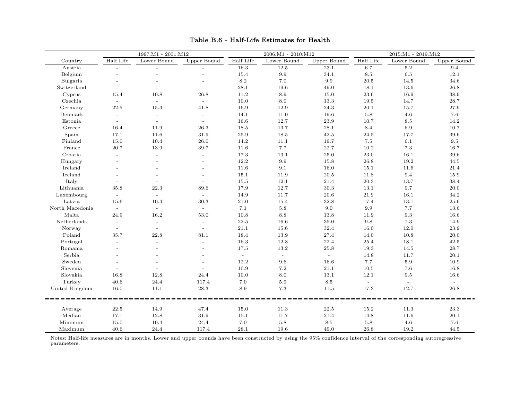|                                                                                                                     |               | 1997:M1 - 2001:M12       |                          |           | $2006:M1 - 2010:M12$ |                 |           | 2015:M1 - 2019:M12 |                    |
|---------------------------------------------------------------------------------------------------------------------|---------------|--------------------------|--------------------------|-----------|----------------------|-----------------|-----------|--------------------|--------------------|
| Country                                                                                                             | Half Life     | Lower Bound              | Upper Bound              | Half Life | Lower Bound          | Upper Bound     | Half Life | Lower Bound        | <b>Upper Bound</b> |
| Austria                                                                                                             |               | $\overline{\phantom{a}}$ |                          | 16.3      | 12.5                 | 23.1            | 6.7       | 5.2                | 9.4                |
| Belgium                                                                                                             |               |                          |                          | 15.4      | 9.9                  | 34.1            | $8.5\,$   | $6.5\,$            | 12.1               |
| Bulgaria                                                                                                            |               |                          | $\overline{a}$           | $8.2\,$   | 7.0                  | $9.9\,$         | 20.5      | 14.5               | $34.6\,$           |
| Switzerland                                                                                                         |               |                          | $\overline{a}$           | 28.1      | 19.6                 | 49.0            | 18.1      | 13.6               | $26.8\,$           |
| Cyprus                                                                                                              | 15.4          | 10.8                     | 26.8                     | 11.2      | 8.9                  | 15.0            | $23.6\,$  | 16.9               | $38.9\,$           |
| Czechia                                                                                                             |               | $\sim$                   | $\sim$                   | 10.0      | $8.0\,$              | 13.3            | 19.5      | 14.7               | 28.7               |
| Germany                                                                                                             | 22.5          | 15.3                     | 41.8                     | 16.9      | 12.9                 | 24.3            | $20.1\,$  | 15.7               | $27.9\,$           |
| Denmark                                                                                                             |               | $\overline{\phantom{a}}$ | $\sim$                   | 14.1      | 11.0                 | 19.6            | $5.8\,$   | 4.6                | 7.6                |
| Estonia                                                                                                             |               | $\overline{a}$           | $\overline{a}$           | 16.6      | 12.7                 | 23.9            | 10.7      | 8.5                | 14.2               |
| Greece                                                                                                              | 16.4          | 11.9                     | 26.3                     | 18.5      | 13.7                 | 28.1            | 8.4       | $6.9\,$            | $10.7\,$           |
| Spain                                                                                                               | 17.1          | 11.6                     | 31.9                     | 25.9      | 18.5                 | 42.5            | 24.5      | 17.7               | 39.6               |
| Finland                                                                                                             | 15.0          | 10.4                     | 26.0                     | 14.2      | 11.1                 | 19.7            | $7.5\,$   | 6.1                | $\,9.5$            |
| France                                                                                                              | $20.7\,$      | 13.9                     | 39.7                     | 11.6      | 7.7                  | $22.7\,$        | 10.2      | 7.3                | 16.7               |
| Croatia                                                                                                             |               | $\overline{\phantom{a}}$ | $\blacksquare$           | 17.3      | 13.1                 | $25.0\,$        | 23.0      | 16.1               | $39.6\,$           |
| Hungary                                                                                                             |               | $\overline{a}$           | $\overline{a}$           | 12.2      | 9.9                  | 15.8            | 26.8      | 19.2               | 44.5               |
| Ireland                                                                                                             |               |                          |                          | 11.6      | $9.1\,$              | 16.0            | 15.1      | 11.6               | 21.4               |
| Iceland                                                                                                             |               |                          | $\overline{a}$           | 15.1      | 11.9                 | $20.5\,$        | 11.8      | 9.4                | 15.9               |
| Italy                                                                                                               |               |                          |                          | 15.5      | 12.1                 | 21.4            | $20.3\,$  | 13.7               | 38.4               |
| Lithuania                                                                                                           | 35.8          | 22.3                     | 89.6                     | 17.9      | 12.7                 | 30.3            | 13.1      | 9.7                | 20.0               |
| Luxembourg                                                                                                          | $\mathcal{L}$ | $\mathbb{L}$             | $\mathbb{L}$             | 14.9      | 11.7                 | 20.6            | 21.9      | 16.1               | 34.2               |
| Latvia                                                                                                              | 15.6          | 10.4                     | 30.3                     | 21.0      | 15.4                 | 32.8            | 17.4      | 13.1               | 25.6               |
| North Macedonia                                                                                                     |               | $\sim$                   | $\mathbf{r}$             | 7.1       | $5.8\,$              | 9.0             | 9.9       | 7.7                | 13.6               |
| $\operatorname*{Malta}% \nolimits_{\Delta}\left( \partial_{\theta}\right) ^{1}\left( \partial_{\theta}\right) ^{1}$ | 24.9          | 16.2                     | $53.0\,$                 | 10.8      | 8.8                  | 13.8            | 11.9      | 9.3                | 16.6               |
| Netherlands                                                                                                         |               | $\overline{a}$           | $\overline{\phantom{a}}$ | 22.5      | 16.6                 | 35.0            | 9.8       | 7.3                | 14.9               |
| Norway                                                                                                              | $\equiv$      | $\sim$                   | $\sim$                   | 21.1      | 15.6                 | 32.4            | 16.0      | 12.0               | 23.9               |
| Poland                                                                                                              | 35.7          | 22.8                     | 81.1                     | 18.4      | 13.9                 | 27.4            | 14.0      | 10.8               | 20.0               |
| Portugal                                                                                                            |               |                          |                          | 16.3      | 12.8                 | 22.4            | 25.4      | 18.1               | 42.5               |
| Romania                                                                                                             |               | $\overline{a}$           | $\overline{a}$           | 17.5      | 13.2                 | 25.8            | 19.3      | 14.5               | 28.7               |
| Serbia                                                                                                              |               |                          | $\overline{a}$           | $\equiv$  | $\omega$             | $\omega$        | 14.8      | 11.7               | 20.1               |
| Sweden                                                                                                              |               |                          |                          | 12.2      | 9.6                  | 16.6            | 7.7       | 5.9                | 10.9               |
| Slovenia                                                                                                            |               |                          |                          | 10.9      | $7.2\,$              | $21.1\,$        | 10.5      | $7.6\,$            | 16.8               |
| Slovakia                                                                                                            | 16.8          | 12.8                     | 24.4                     | 10.0      | 8.0                  | 13.1            | 12.1      | $\,9.5$            | 16.6               |
| Turkey                                                                                                              | 40.6          | 24.4                     | 117.4                    | 7.0       | 5.9                  | 8.5             | $\equiv$  | $\equiv$           | $\equiv$           |
| United Kingdom                                                                                                      | 16.0          | 11.1                     | 28.3                     | 8.9       | 7.3                  | 11.5            | 17.3      | 12.7               | 26.8               |
| Average                                                                                                             | 22.5          | 14.9                     | 47.4                     | 15.0      | 11.3                 | 22.5            | 15.2      | 11.3               | 23.3               |
| Median                                                                                                              | 17.1          | 12.8                     | 31.9                     | 15.1      | 11.7                 | 21.4            | 14.8      | 11.6               | 20.1               |
| Minimum                                                                                                             | 15.0          | 10.4                     | 24.4                     | $7.0\,$   | $5.8\,$              | $\!\!\!\!\!8.5$ | $5.8\,$   | 4.6                | $7.6\,$            |
| Maximum                                                                                                             | 40.6          | 24.4                     | 117.4                    | 28.1      | 19.6                 | 49.0            | 26.8      | 19.2               | 44.5               |

# Table B.6 - Half-Life Estimates for Health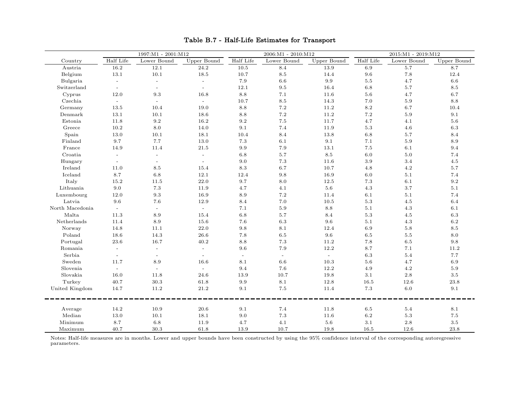|                 |              | 1997:M1 - 2001:M12  |                     |           | 2006:M1 - 2010:M12 |             |           | 2015:M1 - 2019:M12 |             |
|-----------------|--------------|---------------------|---------------------|-----------|--------------------|-------------|-----------|--------------------|-------------|
| Country         | Half Life    | Lower Bound         | Upper Bound         | Half Life | Lower Bound        | Upper Bound | Half Life | Lower Bound        | Upper Bound |
| Austria         | 16.2         | 12.1                | 24.2                | 10.5      | 8.4                | 13.9        | 6.9       | 5.7                | 8.7         |
| Belgium         | 13.1         | 10.1                | 18.5                | 10.7      | 8.5                | 14.4        | 9.6       | 7.8                | 12.4        |
| Bulgaria        | $\mathbb{L}$ | $\bar{\phantom{a}}$ | $\bar{\phantom{a}}$ | 7.9       | 6.6                | $9.9\,$     | $5.5\,$   | 4.7                | 6.6         |
| Switzerland     | $\equiv$     | $\sim$              | $\sim$              | 12.1      | 9.5                | 16.4        | 6.8       | 5.7                | 8.5         |
| Cyprus          | 12.0         | $\rm 9.3$           | 16.8                | $8.8\,$   | 7.1                | 11.6        | $5.6\,$   | 4.7                | 6.7         |
| Czechia         | $\equiv$     | $\mathbb{L}^+$      | $\sim$              | 10.7      | $\!\!\!\!\!8.5$    | 14.3        | $7.0\,$   | $5.9\,$            | 8.8         |
| Germany         | 13.5         | 10.4                | 19.0                | 8.8       | 7.2                | 11.2        | $8.2\,$   | 6.7                | 10.4        |
| Denmark         | 13.1         | 10.1                | 18.6                | 8.8       | 7.2                | 11.2        | $7.2\,$   | 5.9                | 9.1         |
| Estonia         | 11.8         | $\rm 9.2$           | 16.2                | 9.2       | 7.5                | 11.7        | 4.7       | 4.1                | 5.6         |
| Greece          | 10.2         | 8.0                 | 14.0                | 9.1       | 7.4                | 11.9        | $5.3\,$   | 4.6                | $6.3\,$     |
| Spain           | 13.0         | 10.1                | 18.1                | 10.4      | 8.4                | 13.8        | $6.8\,$   | 5.7                | 8.4         |
| Finland         | 9.7          | 7.7                 | 13.0                | 7.3       | 6.1                | 9.1         | 7.1       | 5.9                | 8.9         |
| France          | 14.9         | 11.4                | 21.5                | 9.9       | 7.9                | 13.1        | $7.5\,$   | 6.1                | 9.4         |
| Croatia         |              | $\overline{a}$      | $\blacksquare$      | $6.8\,$   | 5.7                | 8.5         | $6.0\,$   | $5.0\,$            | 7.4         |
| Hungary         | $\equiv$     | $\sim$              | $\mathbb{L}$        | 9.0       | 7.3                | 11.6        | $3.9\,$   | 3.4                | 4.5         |
| Ireland         | 11.0         | $8.5\,$             | 15.4                | 8.3       | 6.7                | 10.7        | $4.8\,$   | 4.2                | $5.7\,$     |
| Iceland         | $8.7\,$      | $6.8\,$             | 12.1                | 12.4      | 9.8                | 16.9        | $6.0\,$   | 5.1                | 7.4         |
| Italy           | 15.2         | 11.5                | $22.0\,$            | 9.7       | $8.0\,$            | 12.5        | $7.3\,$   | $6.1\,$            | 9.2         |
| Lithuania       | $9.0\,$      | $7.3\,$             | 11.9                | 4.7       | 4.1                | $5.6\,$     | $4.3\,$   | $3.7\,$            | $5.1\,$     |
| Luxembourg      | 12.0         | $\rm 9.3$           | 16.9                | 8.9       | 7.2                | 11.4        | 6.1       | 5.1                | 7.4         |
| Latvia          | 9.6          | 7.6                 | 12.9                | 8.4       | 7.0                | 10.5        | $5.3\,$   | 4.5                | 6.4         |
| North Macedonia | $\sim$       | $\sim$              | $\sim$              | 7.1       | 5.9                | 8.8         | $5.1\,$   | 4.3                | 6.1         |
| Malta           | 11.3         | 8.9                 | 15.4                | $6.8\,$   | 5.7                | 8.4         | $5.3\,$   | 4.5                | $6.3\,$     |
| Netherlands     | 11.4         | 8.9                 | 15.6                | 7.6       | 6.3                | 9.6         | $5.1\,$   | 4.3                | 6.2         |
| Norway          | 14.8         | 11.1                | 22.0                | 9.8       | 8.1                | 12.4        | 6.9       | 5.8                | 8.5         |
| Poland          | 18.6         | 14.3                | 26.6                | 7.8       | 6.5                | 9.6         | $6.5\,$   | 5.5                | 8.0         |
| Portugal        | 23.6         | 16.7                | 40.2                | $8.8\,$   | $7.3\,$            | 11.2        | $7.8\,$   | 6.5                | 9.8         |
| Romania         | $\sim$       | $\sim$              | $\mathbb{L}$        | 9.6       | 7.9                | 12.2        | 8.7       | 7.1                | $11.2\,$    |
| Serbia          | $\equiv$     | $\blacksquare$      | $\equiv$            | $\equiv$  | $\omega$           | $\equiv$    | $6.3\,$   | $5.4\,$            | 7.7         |
| Sweden          | 11.7         | 8.9                 | 16.6                | 8.1       | 6.6                | 10.3        | $5.6\,$   | 4.7                | $6.9\,$     |
| Slovenia        | $\sim$       | $\blacksquare$      | $\equiv$            | 9.4       | 7.6                | 12.2        | 4.9       | 4.2                | 5.9         |
| Slovakia        | 16.0         | 11.8                | 24.6                | 13.9      | 10.7               | 19.8        | $3.1\,$   | $2.8\,$            | 3.5         |
| Turkey          | 40.7         | 30.3                | 61.8                | 9.9       | 8.1                | 12.8        | 16.5      | 12.6               | $23.8\,$    |
| United Kingdom  | 14.7         | 11.2                | 21.2                | 9.1       | 7.5                | 11.4        | $7.3\,$   | 6.0                | 9.1         |
| Average         | 14.2         | 10.9                | 20.6                | 9.1       | 7.4                | 11.8        | 6.5       | 5.4                | 8.1         |
| Median          | 13.0         | 10.1                | 18.1                | 9.0       | 7.3                | 11.6        | $6.2\,$   | $5.3\,$            | $7.5\,$     |
| Minimum         | 8.7          | 6.8                 | 11.9                | 4.7       | $4.1\,$            | 5.6         | $3.1\,$   | 2.8                | $3.5\,$     |
| Maximum         | 40.7         | 30.3                | 61.8                | 13.9      | 10.7               | 19.8        | 16.5      | 12.6               | 23.8        |

### Table B.7 - Half-Life Estimates for Transport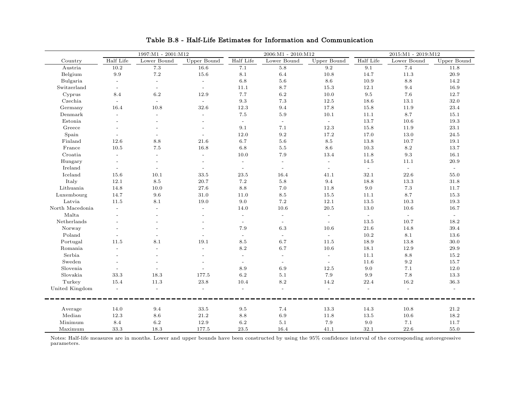|                 |              | 1997:M1 - 2001:M12       |                          |                          | $2006:M1 - 2010:M12$     |                    |                | 2015:M1 - 2019:M12 |                             |
|-----------------|--------------|--------------------------|--------------------------|--------------------------|--------------------------|--------------------|----------------|--------------------|-----------------------------|
| Country         | Half Life    | Lower Bound              | Upper Bound              | Half Life                | Lower Bound              | <b>Upper Bound</b> | Half Life      | Lower Bound        | Upper Bound                 |
| Austria         | 10.2         | $7.3\,$                  | 16.6                     | 7.1                      | $5.8\,$                  | 9.2                | 9.1            | 7.4                | 11.8                        |
| Belgium         | 9.9          | 7.2                      | 15.6                     | 8.1                      | 6.4                      | 10.8               | 14.7           | 11.3               | 20.9                        |
| Bulgaria        | $\sim$       | $\overline{\phantom{a}}$ | $\mathbf{r}$             | $6.8\,$                  | 5.6                      | $8.6\,$            | 10.9           | $8.8\,$            | 14.2                        |
| Switzerland     | $\equiv$     | $\equiv$                 | $\overline{\phantom{a}}$ | 11.1                     | 8.7                      | $15.3\,$           | 12.1           | 9.4                | 16.9                        |
| Cyprus          | 8.4          | 6.2                      | 12.9                     | 7.7                      | 6.2                      | 10.0               | $9.5\,$        | 7.6                | 12.7                        |
| Czechia         | $\mathbf{r}$ | $\omega$                 | $\omega$                 | 9.3                      | 7.3                      | 12.5               | 18.6           | 13.1               | 32.0                        |
| Germany         | 16.4         | 10.8                     | 32.6                     | 12.3                     | 9.4                      | 17.8               | 15.8           | 11.9               | $23.4\,$                    |
| Denmark         |              | $\overline{\phantom{a}}$ | $\bar{a}$                | $7.5\,$                  | $5.9$                    | 10.1               | 11.1           | 8.7                | 15.1                        |
| Estonia         |              |                          |                          | $\equiv$                 | $\omega$                 | $\sim$             | $13.7\,$       | 10.6               | $19.3\,$                    |
| Greece          |              |                          | $\overline{a}$           | 9.1                      | 7.1                      | 12.3               | $15.8\,$       | 11.9               | $23.1\,$                    |
| Spain           |              |                          | $\overline{a}$           | 12.0                     | 9.2                      | 17.2               | 17.0           | 13.0               | 24.5                        |
| Finland         | 12.6         | 8.8                      | 21.6                     | 6.7                      | 5.6                      | 8.5                | 13.8           | 10.7               | 19.1                        |
| France          | 10.5         | 7.5                      | 16.8                     | 6.8                      | 5.5                      | 8.6                | 10.3           | 8.2                | 13.7                        |
| Croatia         |              | $\overline{a}$           | $\overline{a}$           | 10.0                     | 7.9                      | 13.4               | 11.8           | $\rm 9.3$          | 16.1                        |
| Hungary         | $\sim$       | $\overline{\phantom{a}}$ | $\overline{a}$           | $\bar{a}$                | $\overline{\phantom{a}}$ | $\omega$           | 14.5           | 11.1               | 20.9                        |
| Ireland         | $\sim$       | $\overline{\phantom{a}}$ | $\overline{\phantom{a}}$ | $\equiv$                 | $\equiv$                 | $\sim$             | $\mathbb{L}$   | $\mathbb{L}^2$     | $\omega$                    |
| Iceland         | 15.6         | 10.1                     | 33.5                     | 23.5                     | 16.4                     | 41.1               | 32.1           | 22.6               | 55.0                        |
| Italy           | 12.1         | 8.5                      | 20.7                     | $7.2\,$                  | 5.8                      | 9.4                | 18.8           | 13.3               | 31.8                        |
| Lithuania       | 14.8         | 10.0                     | 27.6                     | 8.8                      | 7.0                      | 11.8               | 9.0            | $7.3\,$            | 11.7                        |
| Luxembourg      | 14.7         | 9.6                      | 31.0                     | 11.0                     | 8.5                      | 15.5               | 11.1           | 8.7                | 15.3                        |
| Latvia          | 11.5         | 8.1                      | 19.0                     | 9.0                      | 7.2                      | 12.1               | 13.5           | 10.3               | 19.3                        |
| North Macedonia |              | $\overline{a}$           | $\overline{a}$           | 14.0                     | 10.6                     | $20.5\,$           | 13.0           | 10.6               | 16.7                        |
| Malta           |              | $\overline{\phantom{a}}$ | $\overline{a}$           | $\bar{a}$                | $\mathbb{L}^2$           | $\sim$             | $\equiv$       | $\omega$           | $\mathcal{L}^{\mathcal{A}}$ |
| Netherlands     |              |                          |                          | $\overline{\phantom{a}}$ | $\sim$                   | $\omega$           | 13.5           | 10.7               | 18.2                        |
| Norway          |              |                          |                          | 7.9                      | $6.3\,$                  | 10.6               | $21.6\,$       | 14.8               | 39.4                        |
| Poland          |              |                          |                          |                          | $\blacksquare$           | $\equiv$           | $10.2\,$       | $8.1\,$            | 13.6                        |
| Portugal        | 11.5         | 8.1                      | 19.1                     | $8.5\,$                  | 6.7                      | 11.5               | 18.9           | $13.8\,$           | $30.0\,$                    |
| Romania         |              | $\overline{\phantom{a}}$ | $\overline{a}$           | 8.2                      | 6.7                      | 10.6               | 18.1           | 12.9               | 29.9                        |
| Serbia          |              | $\overline{a}$           | $\overline{a}$           | $\overline{\phantom{a}}$ | $\equiv$                 | $\equiv$           | 11.1           | 8.8                | 15.2                        |
| Sweden          |              |                          |                          | $\overline{\phantom{a}}$ | $\overline{\phantom{a}}$ | $\equiv$           | 11.6           | 9.2                | 15.7                        |
| Slovenia        |              | $\sim$                   | $\overline{a}$           | 8.9                      | 6.9                      | 12.5               | 9.0            | 7.1                | 12.0                        |
| Slovakia        | 33.3         | 18.3                     | 177.5                    | 6.2                      | 5.1                      | 7.9                | 9.9            | 7.8                | 13.3                        |
| Turkey          | 15.4         | 11.3                     | 23.8                     | 10.4                     | 8.2                      | 14.2               | 22.4           | 16.2               | $36.3\,$                    |
| United Kingdom  | $\sim$       | $\equiv$                 | $\overline{a}$           | $\overline{\phantom{a}}$ | $\overline{\phantom{a}}$ | $\sim$             | $\overline{a}$ | $\overline{a}$     | $\sim$                      |
| Average         | 14.0         | 9.4                      | 33.5                     | $9.5\,$                  | 7.4                      | 13.3               | 14.3           | 10.8               | 21.2                        |
| Median          | 12.3         | 8.6                      | 21.2                     | 8.8                      | 6.9                      | $11.8\,$           | 13.5           | 10.6               | 18.2                        |
| Minimum         | 8.4          | 6.2                      | 12.9                     | $6.2\,$                  | 5.1                      | 7.9                | 9.0            | 7.1                | 11.7                        |
| Maximum         | 33.3         | 18.3                     | 177.5                    | 23.5                     | 16.4                     | 41.1               | 32.1           | 22.6               | 55.0                        |

Table B.8 - Half-Life Estimates for Information and Communication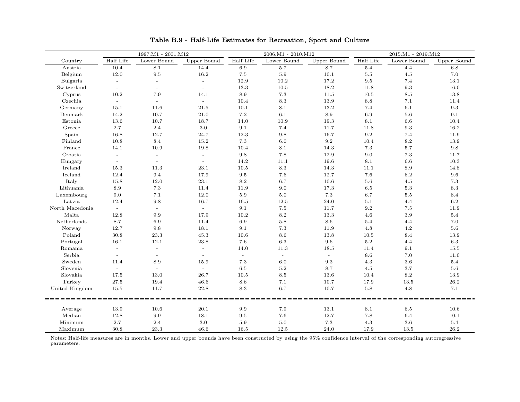|                 | 1997:M1 - 2001:M12          |                          |                          | 2006:M1 - 2010:M12 |                 |             | 2015:M1 - 2019:M12 |                           |                 |
|-----------------|-----------------------------|--------------------------|--------------------------|--------------------|-----------------|-------------|--------------------|---------------------------|-----------------|
| Country         | Half Life                   | Lower Bound              | Upper Bound              | Half Life          | Lower Bound     | Upper Bound | Half Life          | Lower Bound               | Upper Bound     |
| Austria         | 10.4                        | 8.1                      | 14.4                     | 6.9                | 5.7             | 8.7         | $5.4\,$            | 4.4                       | 6.8             |
| Belgium         | 12.0                        | 9.5                      | 16.2                     | 7.5                | 5.9             | $10.1\,$    | $5.5\,$            | 4.5                       | $7.0\,$         |
| Bulgaria        | $\mathbb{L}$                | $\sim$                   | $\omega$                 | 12.9               | 10.2            | 17.2        | 9.5                | 7.4                       | 13.1            |
| Switzerland     | $\blacksquare$              | $\equiv$                 | $\omega$                 | 13.3               | 10.5            | 18.2        | 11.8               | 9.3                       | 16.0            |
| Cyprus          | 10.2                        | 7.9                      | 14.1                     | $8.9\,$            | $7.3\,$         | 11.5        | $10.5\,$           | $\!\!\!\!\!8.5\!\!\!\!\!$ | $13.8\,$        |
| Czechia         | $\mathcal{L}_{\mathcal{A}}$ | $\sim$                   | $\sim$                   | 10.4               | $\!\!\!\!\!8.3$ | $13.9\,$    | $8.8\,$            | $7.1\,$                   | 11.4            |
| Germany         | 15.1                        | 11.6                     | 21.5                     | 10.1               | 8.1             | 13.2        | 7.4                | 6.1                       | 9.3             |
| Denmark         | 14.2                        | 10.7                     | 21.0                     | 7.2                | 6.1             | 8.9         | 6.9                | 5.6                       | 9.1             |
| Estonia         | 13.6                        | 10.7                     | 18.7                     | 14.0               | 10.9            | 19.3        | $8.1\,$            | 6.6                       | 10.4            |
| Greece          | 2.7                         | 2.4                      | $3.0\,$                  | 9.1                | 7.4             | 11.7        | 11.8               | $\rm 9.3$                 | 16.2            |
| Spain           | 16.8                        | 12.7                     | 24.7                     | 12.3               | 9.8             | 16.7        | $\rm 9.2$          | 7.4                       | 11.9            |
| Finland         | 10.8                        | 8.4                      | 15.2                     | 7.3                | 6.0             | $9.2\,$     | 10.4               | $8.2\,$                   | 13.9            |
| France          | 14.1                        | 10.9                     | 19.8                     | 10.4               | 8.1             | 14.3        | $7.3\,$            | 5.7                       | 9.8             |
| Croatia         | $\sim$                      | $\overline{\phantom{a}}$ | $\overline{\phantom{a}}$ | 9.8                | 7.8             | 12.9        | 9.0                | $7.3\,$                   | 11.7            |
| Hungary         | $\blacksquare$              | $\mathbb{L}$             | $\mathbb{L}$             | 14.2               | 11.1            | 19.6        | 8.1                | 6.6                       | 10.3            |
| Ireland         | 15.3                        | 11.3                     | 23.1                     | 10.5               | 8.3             | 14.3        | 11.1               | $8.9\,$                   | 14.8            |
| Iceland         | 12.4                        | $9.4\,$                  | 17.9                     | $9.5\,$            | $7.6\,$         | 12.7        | $7.6\,$            | $6.2\,$                   | $9.6\,$         |
| Italy           | $15.8\,$                    | 12.0                     | $23.1\,$                 | 8.2                | 6.7             | 10.6        | $5.6\,$            | 4.5                       | $7.3\,$         |
| Lithuania       | $8.9\,$                     | $7.3\,$                  | 11.4                     | 11.9               | 9.0             | 17.3        | $6.5\,$            | $5.3\,$                   | $\!\!\!\!\!8.3$ |
| Luxembourg      | 9.0                         | 7.1                      | 12.0                     | 5.9                | $5.0\,$         | 7.3         | 6.7                | $5.5\,$                   | 8.4             |
| Latvia          | 12.4                        | 9.8                      | 16.7                     | 16.5               | 12.5            | 24.0        | $5.1\,$            | 4.4                       | 6.2             |
| North Macedonia | $\sim$                      | $\sim$                   | $\sim$                   | 9.1                | $7.5\,$         | 11.7        | $\rm 9.2$          | 7.5                       | 11.9            |
| Malta           | 12.8                        | 9.9                      | 17.9                     | 10.2               | 8.2             | 13.3        | 4.6                | 3.9                       | $5.4\,$         |
| Netherlands     | 8.7                         | 6.9                      | 11.4                     | 6.9                | 5.8             | 8.6         | 5.4                | 4.4                       | $7.0\,$         |
| Norway          | 12.7                        | 9.8                      | 18.1                     | 9.1                | $7.3\,$         | 11.9        | 4.8                | 4.2                       | 5.6             |
| Poland          | 30.8                        | 23.3                     | 45.3                     | 10.6               | 8.6             | 13.8        | 10.5               | 8.4                       | 13.9            |
| Portugal        | 16.1                        | 12.1                     | 23.8                     | 7.6                | $6.3\,$         | 9.6         | $5.2\,$            | 4.4                       | 6.3             |
| Romania         | $\blacksquare$              | $\omega$                 | $\omega$                 | 14.0               | 11.3            | 18.5        | 11.4               | $9.1\,$                   | $15.5\,$        |
| Serbia          | $\equiv$                    | $\sim$                   | $\blacksquare$           | $\Box$             | $\equiv$        | $\omega$    | $8.6\,$            | $7.0\,$                   | $11.0\,$        |
| Sweden          | 11.4                        | 8.9                      | 15.9                     | 7.3                | 6.0             | 9.3         | $4.3\,$            | 3.6                       | 5.4             |
| Slovenia        | $\sim$                      | $\sim$                   | $\sim$                   | 6.5                | $5.2\,$         | 8.7         | $4.5\,$            | 3.7                       | 5.6             |
| Slovakia        | 17.5                        | 13.0                     | 26.7                     | 10.5               | 8.5             | 13.6        | 10.4               | $8.2\,$                   | 13.9            |
| Turkey          | 27.5                        | 19.4                     | 46.6                     | 8.6                | 7.1             | 10.7        | 17.9               | 13.5                      | $26.2\,$        |
| United Kingdom  | 15.5                        | 11.7                     | 22.8                     | 8.3                | 6.7             | 10.7        | $5.8\,$            | 4.8                       | $7.1\,$         |
| Average         | 13.9                        | 10.6                     | 20.1                     | 9.9                | 7.9             | 13.1        | 8.1                | 6.5                       | 10.6            |
| Median          | 12.8                        | 9.9                      | 18.1                     | 9.5                | 7.6             | 12.7        | 7.8                | 6.4                       | 10.1            |
| Minimum         | 2.7                         | 2.4                      | 3.0                      | 5.9                | 5.0             | $7.3\,$     | $4.3\,$            | 3.6                       | $5.4\,$         |
| Maximum         | 30.8                        | 23.3                     | 46.6                     | 16.5               | 12.5            | 24.0        | 17.9               | 13.5                      | 26.2            |

Table B.9 - Half-Life Estimates for Recreation, Sport and Culture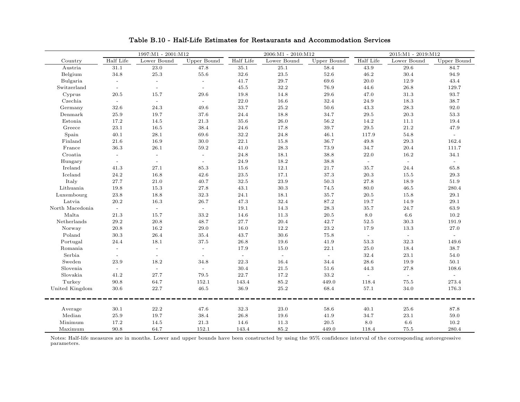|                 | 1997:M1 - 2001:M12        |             |                | $2006{:}M1$ - $2010{:}M12$ |             |             | $2015:M1 - 2019:M12$ |             |                |
|-----------------|---------------------------|-------------|----------------|----------------------------|-------------|-------------|----------------------|-------------|----------------|
| Country         | Half Life                 | Lower Bound | Upper Bound    | Half Life                  | Lower Bound | Upper Bound | Half Life            | Lower Bound | Upper Bound    |
| Austria         | 31.1                      | 23.0        | 47.8           | 35.1                       | 25.1        | 58.4        | 43.9                 | 29.6        | 84.7           |
| Belgium         | 34.8                      | 25.3        | $55.6\,$       | 32.6                       | 23.5        | 52.6        | 46.2                 | 30.4        | 94.9           |
| Bulgaria        | $\mathbb{Z}^2$            | $\sim$      | $\sim$         | 41.7                       | 29.7        | 69.6        | 20.0                 | 12.9        | 43.4           |
| Switzerland     |                           |             |                | 45.5                       | 32.2        | 76.9        | 44.6                 | 26.8        | 129.7          |
| Cyprus          | $20.5\,$                  | 15.7        | 29.6           | 19.8                       | 14.8        | 29.6        | 47.0                 | 31.3        | 93.7           |
| Czechia         | $\sim$                    | $\sim$      | $\sim$         | 22.0                       | 16.6        | 32.4        | 24.9                 | $18.3\,$    | $38.7\,$       |
| Germany         | $32.6\,$                  | 24.3        | 49.6           | 33.7                       | $25.2\,$    | 50.6        | 43.3                 | 28.3        | $92.0\,$       |
| Denmark         | 25.9                      | 19.7        | 37.6           | 24.4                       | 18.8        | 34.7        | 29.5                 | $20.3\,$    | 53.3           |
| Estonia         | 17.2                      | 14.5        | 21.3           | 35.6                       | 26.0        | 56.2        | 14.2                 | 11.1        | 19.4           |
| Greece          | 23.1                      | 16.5        | 38.4           | 24.6                       | 17.8        | 39.7        | 29.5                 | 21.2        | 47.9           |
| Spain           | 40.1                      | 28.1        | 69.6           | 32.2                       | 24.8        | 46.1        | 117.9                | 54.8        | $\omega$       |
| Finland         | 21.6                      | 16.9        | 30.0           | 22.1                       | 15.8        | 36.7        | 49.8                 | 29.3        | 162.4          |
| France          | 36.3                      | 26.1        | 59.2           | 41.0                       | 28.3        | 73.9        | 34.7                 | 20.4        | 111.7          |
| Croatia         | $\sim$                    | $\sim$      | $\sim$         | 24.8                       | 18.1        | 38.8        | 22.0                 | 16.2        | 34.1           |
| Hungary         | $\sim$                    | $\sim$      | $\sim$         | 24.9                       | 18.2        | 38.8        | $\sim$               | $\omega$    | $\omega$       |
| Ireland         | 41.3                      | 27.1        | 85.3           | 15.6                       | 12.1        | 21.7        | 35.7                 | 24.4        | 65.8           |
| Iceland         | 24.2                      | 16.8        | 42.6           | $23.5\,$                   | 17.1        | 37.3        | $20.3\,$             | 15.5        | 29.3           |
| Italy           | $27.7\,$                  | $21.0\,$    | 40.7           | 32.5                       | $23.9\,$    | 50.3        | 27.8                 | 18.9        | 51.9           |
| Lithuania       | 19.8                      | 15.3        | $27.8\,$       | 43.1                       | 30.3        | 74.5        | 80.0                 | $46.5\,$    | 280.4          |
| Luxembourg      | 23.8                      | 18.8        | 32.3           | 24.1                       | 18.1        | 35.7        | 20.5                 | 15.8        | 29.1           |
| Latvia          | 20.2                      | 16.3        | 26.7           | 47.3                       | 32.4        | 87.2        | 19.7                 | 14.9        | 29.1           |
| North Macedonia | $\sim$                    | $\sim$      | $\sim$         | 19.1                       | 14.3        | 28.3        | 35.7                 | 24.7        | 63.9           |
| Malta           | 21.3                      | 15.7        | 33.2           | 14.6                       | 11.3        | 20.5        | 8.0                  | 6.6         | 10.2           |
| Netherlands     | 29.2                      | 20.8        | 48.7           | 27.7                       | 20.4        | 42.7        | 52.5                 | 30.3        | 191.9          |
| Norway          | 20.8                      | 16.2        | 29.0           | 16.0                       | 12.2        | 23.2        | 17.9                 | 13.3        | 27.0           |
| Poland          | 30.3                      | 26.4        | 35.4           | 43.7                       | 30.6        | 75.8        | $\sim$ $^{-1}$       | $\sim$      | $\sim$ $^{-1}$ |
| Portugal        | 24.4                      | 18.1        | 37.5           | 26.8                       | 19.6        | 41.9        | 53.3                 | 32.3        | 149.6          |
| Romania         | $\mathbb{L}^{\mathbb{N}}$ | $\equiv$    | $\mathbb{Z}^2$ | 17.9                       | 15.0        | 22.1        | $25.0\,$             | 18.4        | 38.7           |
| Serbia          | $\omega$                  | $\omega$    | $\sim$         | $\omega$                   | $\equiv$    | $\omega$    | 32.4                 | $23.1\,$    | $54.0\,$       |
| Sweden          | 23.9                      | 18.2        | 34.8           | 22.3                       | 16.4        | 34.4        | 28.6                 | 19.9        | 50.1           |
| Slovenia        | $\sim$                    | $\sim$      | $\sim$         | 30.4                       | 21.5        | 51.6        | 44.3                 | 27.8        | 108.6          |
| Slovakia        | 41.2                      | 27.7        | 79.5           | 22.7                       | 17.2        | 33.2        | $\omega$             | $\omega$    | $\equiv$       |
| Turkey          | 90.8                      | 64.7        | 152.1          | 143.4                      | 85.2        | 449.0       | 118.4                | 75.5        | 273.4          |
| United Kingdom  | 30.6                      | 22.7        | 46.5           | 36.9                       | 25.2        | 68.4        | 57.1                 | 34.0        | 176.3          |
|                 |                           |             |                |                            |             |             |                      |             |                |
| Average         | 30.1                      | 22.2        | 47.6           | 32.3                       | 23.0        | 58.6        | 40.1                 | 25.6        | 87.8           |
| Median          | 25.9                      | 19.7        | 38.4           | 26.8                       | 19.6        | 41.9        | 34.7                 | 23.1        | 59.0           |
| Minimum         | 17.2                      | 14.5        | 21.3           | 14.6                       | 11.3        | 20.5        | 8.0                  | 6.6         | 10.2           |
| Maximum         | 90.8                      | 64.7        | 152.1          | 143.4                      | 85.2        | 449.0       | 118.4                | 75.5        | 280.4          |

Table B.10 - Half-Life Estimates for Restaurants and Accommodation Services